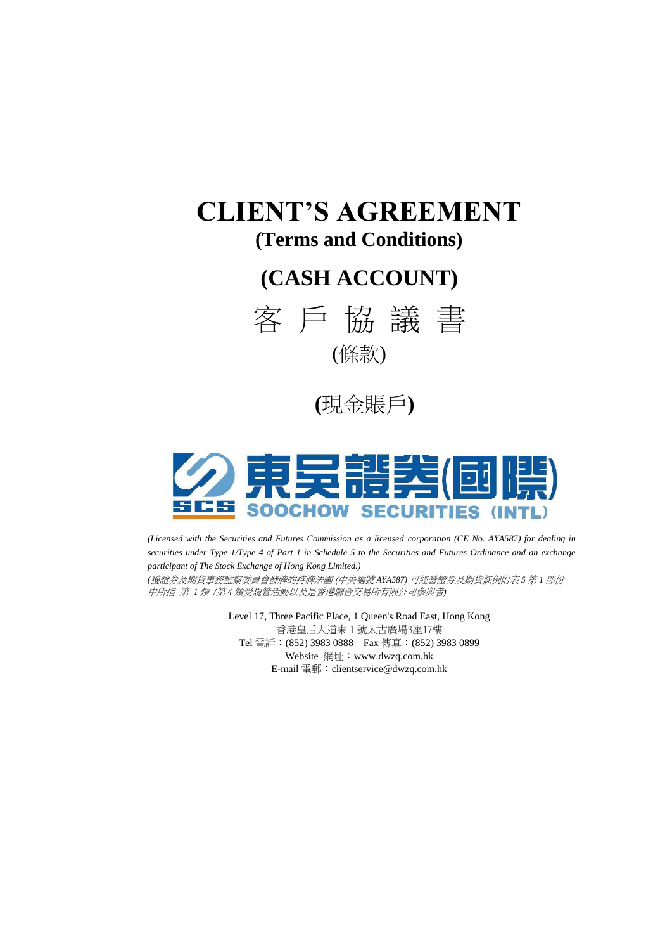# **CLIENT'S AGREEMENT (Terms and Conditions)**

# **(CASH ACCOUNT)**



**(**現金賬戶**)**



*(Licensed with the Securities and Futures Commission as a licensed corporation (CE No. AYA587) for dealing in securities under Type 1/Type 4 of Part 1 in Schedule 5 to the Securities and Futures Ordinance and an exchange participant of The Stock Exchange of Hong Kong Limited.) (*獲證券及期貨事務監察委員會發牌的持牌法團 (中央編號 *AYA587)* 可經營證券及期貨條例附表 *5* 第 *1* 部份 中所指 第 *1* 類 */*第 *4* 類受規管活動以及是香港聯合交易所有限公司參與者*)*

> Level 17, Three Pacific Place, 1 Queen's Road East, Hong Kong 香港皇后大道東 1 號太古廣場3座17樓 Tel 電話:(852) 3983 0888 Fax 傳真:(852) 3983 0899 Website 網址: www.dwzq.com.hk E-mail 電郵:[clientservice@dwzq.com.hk](mailto:clientservice@china-invs.hk)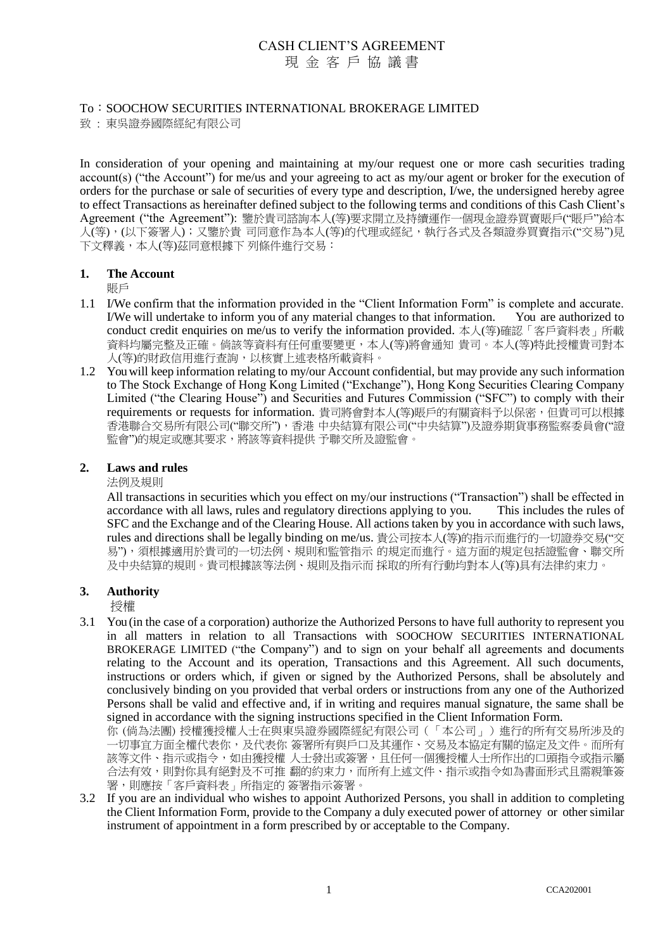# CASH CLIENT'S AGREEMENT

現 金 客 戶 協 議 書

## To:SOOCHOW SECURITIES INTERNATIONAL BROKERAGE LIMITED

致 : 東吳證券國際經紀有限公司

In consideration of your opening and maintaining at my/our request one or more cash securities trading account(s) ("the Account") for me/us and your agreeing to act as my/our agent or broker for the execution of orders for the purchase or sale of securities of every type and description, I/we, the undersigned hereby agree to effect Transactions as hereinafter defined subject to the following terms and conditions of this Cash Client's Agreement ("the Agreement"): 鑒於貴司諮詢本人(等)要求開立及持續運作一個現金證券買賣賬戶("賬戶")給本 人(等),(以下簽署人);又鑒於貴 司同意作為本人(等)的代理或經紀,執行各式及各類證券買賣指示("交易")見 下文釋義,本人(等)茲同意根據下 列條件進行交易:

## **1. The Account**

賬戶

- 1.1 I/We confirm that the information provided in the "Client Information Form" is complete and accurate. I/We will undertake to inform you of any material changes to that information. You are authorized to conduct credit enquiries on me/us to verify the information provided. 本人(等)確認「客戶資料表」所載 資料均屬完整及正確。倘該等資料有任何重要變更,本人(等)將會通知 貴司。本人(等)特此授權貴司對本 人(等)的財政信用進行查詢,以核實上述表格所載資料。
- 1.2 You will keep information relating to my/our Account confidential, but may provide any such information to The Stock Exchange of Hong Kong Limited ("Exchange"), Hong Kong Securities Clearing Company Limited ("the Clearing House") and Securities and Futures Commission ("SFC") to comply with their requirements or requests for information. 貴司將會對本人(等)賬戶的有關資料予以保密, 但貴司可以根據 香港聯合交易所有限公司("聯交所"),香港 中央結算有限公司("中央結算")及證券期貨事務監察委員會("證 監會")的規定或應其要求,將該等資料提供 予聯交所及證監會。

## **2. Laws and rules**

法例及規則

All transactions in securities which you effect on my/our instructions ("Transaction") shall be effected in accordance with all laws, rules and regulatory directions applying to you. This includes the rules of SFC and the Exchange and of the Clearing House. All actions taken by you in accordance with such laws, rules and directions shall be legally binding on me/us. 貴公司按本人(等)的指示而進行的一切證券交易("交 易"),須根據適用於貴司的一切法例、規則和監管指示 的規定而進行。這方面的規定包括證監會、聯交所 及中央結算的規則。貴司根據該等法例、規則及指示而 採取的所有行動均對本人(等)具有法律約束力。

#### **3. Authority**

授權

3.1 You (in the case of a corporation) authorize the Authorized Persons to have full authority to represent you in all matters in relation to all Transactions with SOOCHOW SECURITIES INTERNATIONAL BROKERAGE LIMITED ("the Company") and to sign on your behalf all agreements and documents relating to the Account and its operation, Transactions and this Agreement. All such documents, instructions or orders which, if given or signed by the Authorized Persons, shall be absolutely and conclusively binding on you provided that verbal orders or instructions from any one of the Authorized Persons shall be valid and effective and, if in writing and requires manual signature, the same shall be signed in accordance with the signing instructions specified in the Client Information Form.

你 (倘為法團) 授權獲授權人士在與東吳證券國際經紀有限公司(「本公司」)進行的所有交易所涉及的 一切事宜方面全權代表你,及代表你 簽署所有與戶口及其運作、交易及本協定有關的協定及文件。而所有 該等文件、指示或指令,如由獲授權 人士發出或簽署,且任何一個獲授權人士所作出的口頭指令或指示屬 合法有效,則對你具有絕對及不可推 翻的約束力,而所有上述文件、指示或指令如為書面形式且需親筆簽 署,則應按「客戶資料表」所指定的 簽署指示簽署。

3.2 If you are an individual who wishes to appoint Authorized Persons, you shall in addition to completing the Client Information Form, provide to the Company a duly executed power of attorney or other similar instrument of appointment in a form prescribed by or acceptable to the Company.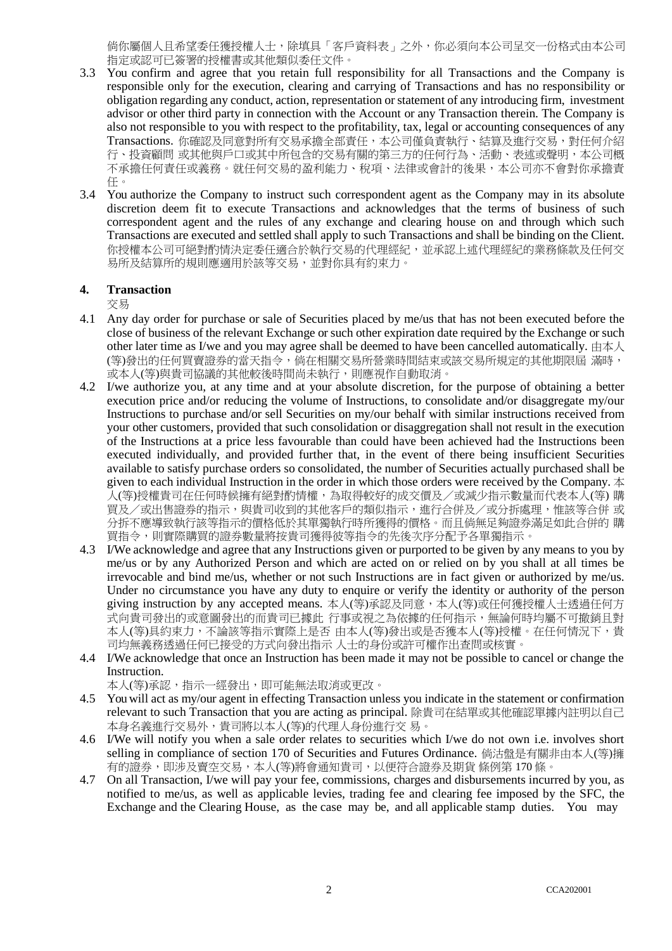倘你屬個人且希望委任獲授權人士,除填具「客戶資料表」之外,你必須向本公司呈交一份格式由本公司 指定或認可已簽署的授權書或其他類似委任文件。

- 3.3 You confirm and agree that you retain full responsibility for all Transactions and the Company is responsible only for the execution, clearing and carrying of Transactions and has no responsibility or obligation regarding any conduct, action, representation or statement of any introducing firm, investment advisor or other third party in connection with the Account or any Transaction therein. The Company is also not responsible to you with respect to the profitability, tax, legal or accounting consequences of any Transactions. 你確認及同意對所有交易承擔全部責任,本公司僅負責執行、結算及進行交易,對任何介紹 行、投資顧問 或其他與戶口或其中所包含的交易有關的第三方的任何行為、活動、表述或聲明,本公司概 不承擔任何責任或義務。就任何交易的盈利能力、稅項、法律或會計的後果,本公司亦不會對你承擔責 任。
- 3.4 You authorize the Company to instruct such correspondent agent as the Company may in its absolute discretion deem fit to execute Transactions and acknowledges that the terms of business of such correspondent agent and the rules of any exchange and clearing house on and through which such Transactions are executed and settled shall apply to such Transactions and shall be binding on the Client. 你授權本公司可絕對酌情決定委任適合於執行交易的代理經紀,並承認上述代理經紀的業務條款及任何交 易所及結算所的規則應適用於該等交易,並對你具有約束力。

#### **4. Transaction**

交易

- 4.1 Any day order for purchase or sale of Securities placed by me/us that has not been executed before the close of business of the relevant Exchange or such other expiration date required by the Exchange or such other later time as I/we and you may agree shall be deemed to have been cancelled automatically. 由本人 (等)發出的任何買賣證券的當天指令,倘在相關交易所營業時間結束或該交易所規定的其他期限屆 滿時, 或本人(等)與貴司協議的其他較後時間尚未執行,則應視作自動取消。
- 4.2 I/we authorize you, at any time and at your absolute discretion, for the purpose of obtaining a better execution price and/or reducing the volume of Instructions, to consolidate and/or disaggregate my/our Instructions to purchase and/or sell Securities on my/our behalf with similar instructions received from your other customers, provided that such consolidation or disaggregation shall not result in the execution of the Instructions at a price less favourable than could have been achieved had the Instructions been executed individually, and provided further that, in the event of there being insufficient Securities available to satisfy purchase orders so consolidated, the number of Securities actually purchased shall be given to each individual Instruction in the order in which those orders were received by the Company. 本 人(等)授權貴司在任何時候擁有絕對酌情權,為取得較好的成交價及/或減少指示數量而代表本人(等) 購 買及/或出售證券的指示,與貴司收到的其他客戶的類似指示,進行合併及/或分拆處理,惟該等合併 或 分拆不應導致執行該等指示的價格低於其單獨執行時所獲得的價格。而且倘無足夠證券滿足如此合併的 購 買指令,則實際購買的證券數量將按貴司獲得彼等指令的先後次序分配予各單獨指示。
- 4.3 I/We acknowledge and agree that any Instructions given or purported to be given by any means to you by me/us or by any Authorized Person and which are acted on or relied on by you shall at all times be irrevocable and bind me/us, whether or not such Instructions are in fact given or authorized by me/us. Under no circumstance you have any duty to enquire or verify the identity or authority of the person giving instruction by any accepted means. 本人(等)承認及同意,本人(等)或任何獲授權人士透過任何方 式向貴司發出的或意圖發出的而貴司已據此 行事或視之為依據的任何指示,無論何時均屬不可撤銷且對 本人(等)具約束力,不論該等指示實際上是否 由本人(等)發出或是否獲本人(等)授權。在任何情況下,貴 司均無義務透過任何已接受的方式向發出指示 人士的身份或許可權作出查問或核實。
- 4.4 I/We acknowledge that once an Instruction has been made it may not be possible to cancel or change the Instruction.

本人(等)承認,指示一經發出,即可能無法取消或更改。

- 4.5 You will act as my/our agent in effecting Transaction unless you indicate in the statement or confirmation relevant to such Transaction that you are acting as principal. 除貴司在結單或其他確認單據內註明以自己 本身名義進行交易外,貴司將以本人(等)的代理人身份進行交 易。
- 4.6 I/We will notify you when a sale order relates to securities which I/we do not own i.e. involves short selling in compliance of section 170 of Securities and Futures Ordinance. 倘沽盤是有關非由本人(等)擁 有的證券,即涉及賣空交易,本人(等)將會通知貴司,以便符合證券及期貨 條例第 170 條。
- 4.7 On all Transaction, I/we will pay your fee, commissions, charges and disbursements incurred by you, as notified to me/us, as well as applicable levies, trading fee and clearing fee imposed by the SFC, the Exchange and the Clearing House, as the case may be, and all applicable stamp duties. You may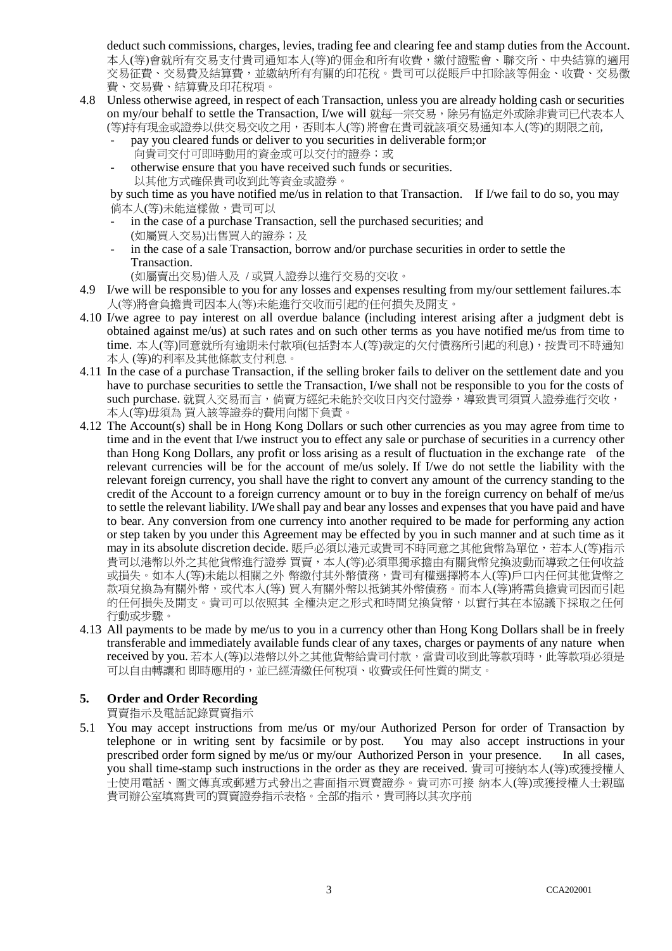deduct such commissions, charges, levies, trading fee and clearing fee and stamp duties from the Account. 本人(等)會就所有交易支付貴司通知本人(等)的佣金和所有收費,繳付證監會、聯交所、中央結算的適用 交易征費、交易費及結算費,並繳納所有有關的印花稅。貴司可以從賬戶中扣除該等佣金、收費、交易徵 費、交易費、結算費及印花稅項。

- 4.8 Unless otherwise agreed, in respect of each Transaction, unless you are already holding cash or securities on my/our behalf to settle the Transaction, I/we will 就每一宗交易,除另有協定外或除非貴司已代表本人 (等)持有現金或證券以供交易交收之用,否則本人(等) 將會在貴司就該項交易通知本人(等)的期限之前,
	- pay you cleared funds or deliver to you securities in deliverable form;or 向貴司交付可即時動用的資金或可以交付的證券;或
	- otherwise ensure that you have received such funds or securities. 以其他方式確保貴司收到此等資金或證券。

by such time as you have notified me/us in relation to that Transaction. If I/we fail to do so, you may 倘本人(等)未能這樣做,貴司可以

- in the case of a purchase Transaction, sell the purchased securities; and (如屬買入交易)出售買入的證券;及
- in the case of a sale Transaction, borrow and/or purchase securities in order to settle the Transaction.
	- (如屬賣出交易)借入及 / 或買入證券以進行交易的交收。
- 4.9 I/we will be responsible to you for any losses and expenses resulting from my/our settlement failures.本 人(等)將會負擔貴司因本人(等)未能進行交收而引起的任何損失及開支。
- 4.10 I/we agree to pay interest on all overdue balance (including interest arising after a judgment debt is obtained against me/us) at such rates and on such other terms as you have notified me/us from time to time. 本人(等)同意就所有逾期未付款項(包括對本人(等)裁定的欠付債務所引起的利息),按貴司不時通知 本人 (等)的利率及其他條款支付利息。
- 4.11 In the case of a purchase Transaction, if the selling broker fails to deliver on the settlement date and you have to purchase securities to settle the Transaction, I/we shall not be responsible to you for the costs of such purchase. 就買入交易而言,倘賣方經紀未能於交收日內交付證券,導致貴司須買入證券進行交收, 本人(等)毋須為 買入該等證券的費用向閣下負責。
- 4.12 The Account(s) shall be in Hong Kong Dollars or such other currencies as you may agree from time to time and in the event that I/we instruct you to effect any sale or purchase of securities in a currency other than Hong Kong Dollars, any profit or loss arising as a result of fluctuation in the exchange rate of the relevant currencies will be for the account of me/us solely. If I/we do not settle the liability with the relevant foreign currency, you shall have the right to convert any amount of the currency standing to the credit of the Account to a foreign currency amount or to buy in the foreign currency on behalf of me/us to settle the relevant liability. I/We shall pay and bear any losses and expenses that you have paid and have to bear. Any conversion from one currency into another required to be made for performing any action or step taken by you under this Agreement may be effected by you in such manner and at such time as it may in its absolute discretion decide. 賬戶必須以港元或貴司不時同意之其他貨幣為單位,若本人(等)指示 貴司以港幣以外之其他貨幣進行證券 買賣,本人(等)必須單獨承擔由有關貨幣兌換波動而導致之任何收益 或損失。如本人(等)未能以相關之外 幣繳付其外幣債務,貴司有權選擇將本人(等)戶口內任何其他貨幣之 款項兌換為有關外幣,或代本人(等) 買入有關外幣以抵銷其外幣債務。而本人(等)將需負擔貴司因而引起 的任何損失及開支。貴司可以依照其 全權決定之形式和時間兌換貨幣,以實行其在本協議下採取之任何 行動或步驟。
- 4.13 All payments to be made by me/us to you in a currency other than Hong Kong Dollars shall be in freely transferable and immediately available funds clear of any taxes, charges or payments of any nature when received by you. 若本人(等)以港幣以外之其他貨幣給貴司付款,當貴司收到此等款項時, 此等款項必須是 可以自由轉讓和 即時應用的,並已經清繳任何稅項、收費或任何性質的開支。

# **5. Order and Order Recording**

買賣指示及電話記錄買賣指示

5.1 You may accept instructions from me/us or my/our Authorized Person for order of Transaction by telephone or in writing sent by facsimile or by post. You may also accept instructions in your prescribed order form signed by me/us or my/our Authorized Person in your presence. In all cases, you shall time-stamp such instructions in the order as they are received. 貴司可接納本人(等)或獲授權人 士使用電話、圖文傳真或郵遞方式發出之書面指示買賣證券。貴司亦可接 納本人(等)或獲授權人士親臨 貴司辦公室填寫貴司的買賣證券指示表格。全部的指示,貴司將以其次序前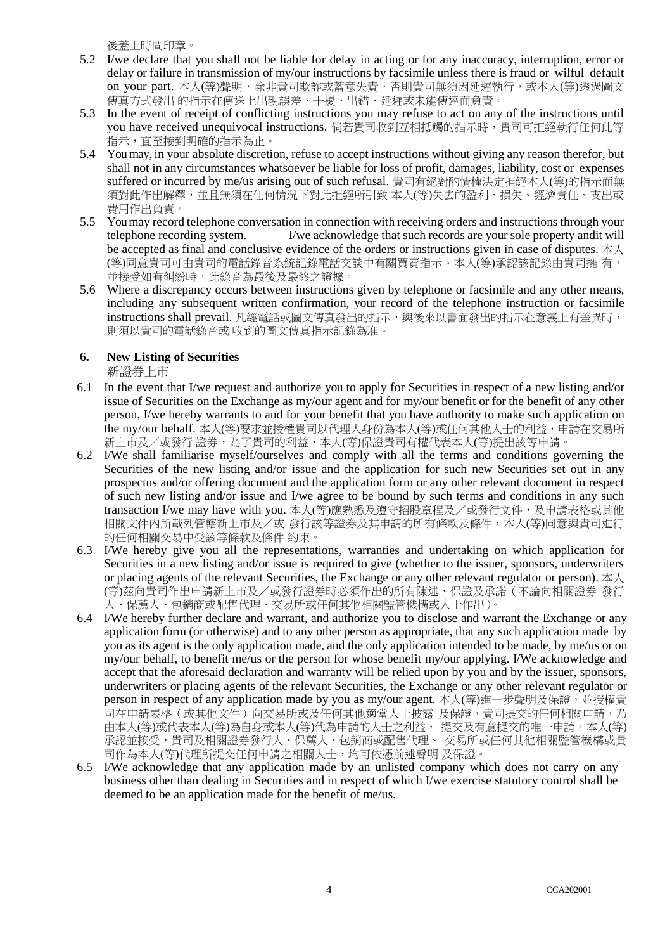後蓋上時間印章。

- 5.2 I/we declare that you shall not be liable for delay in acting or for any inaccuracy, interruption, error or delay or failure in transmission of my/our instructions by facsimile unless there is fraud or wilful default on your part. 本人(等)聲明,除非貴司欺詐或蓄意失責,否則貴司無須因延遲執行,或本人(等)透過圖文 傳真方式發出 的指示在傳送上出現誤差、干擾、出錯、延遲或未能傳達而負責。
- 5.3 In the event of receipt of conflicting instructions you may refuse to act on any of the instructions until you have received unequivocal instructions. 倘若貴司收到互相抵觸的指示時,貴司可拒絕執行任何此等 指示,直至接到明確的指示為止。
- 5.4 You may, in your absolute discretion, refuse to accept instructions without giving any reason therefor, but shall not in any circumstances whatsoever be liable for loss of profit, damages, liability, cost or expenses suffered or incurred by me/us arising out of such refusal. 貴司有絕對酌情權決定拒絕本人(等)的指示而無 須對此作出解釋,並且無須在任何情況下對此拒絕所引致 本人(等)失去的盈利、損失、經濟責任、支出或 費用作出負責。
- 5.5 You may record telephone conversation in connection with receiving orders and instructions through your telephone recording system. I/we acknowledge that such records are your sole property andit will be accepted as final and conclusive evidence of the orders or instructions given in case of disputes. 本人 (等)同意貴司可由貴司的電話錄音系統記錄電話交談中有關買賣指示。本人(等)承認該記錄由貴司擁 有, 並接受如有糾紛時,此錄音為最後及最終之證據。
- 5.6 Where a discrepancy occurs between instructions given by telephone or facsimile and any other means, including any subsequent written confirmation, your record of the telephone instruction or facsimile instructions shall prevail. 凡經電話或圖文傳真發出的指示,與後來以書面發出的指示在意義上有差異時, 則須以貴司的電話錄音或 收到的圖文傳真指示記錄為准。

## **6. New Listing of Securities**

新證券上市

- 6.1 In the event that I/we request and authorize you to apply for Securities in respect of a new listing and/or issue of Securities on the Exchange as my/our agent and for my/our benefit or for the benefit of any other person, I/we hereby warrants to and for your benefit that you have authority to make such application on the my/our behalf. 本人(等)要求並授權貴司以代理人身份為本人(等)或任何其他人士的利益,申請在交易所 新上市及/或發行證券,為了貴司的利益,本人(等)保證貴司有權代表本人(等)提出該等申請。
- 6.2 I/We shall familiarise myself/ourselves and comply with all the terms and conditions governing the Securities of the new listing and/or issue and the application for such new Securities set out in any prospectus and/or offering document and the application form or any other relevant document in respect of such new listing and/or issue and I/we agree to be bound by such terms and conditions in any such transaction I/we may have with you. 本人(等)應熟悉及遵守招股章程及/或發行文件,及申請表格或其他 相關文件內所載列管轄新上市及/或 發行該等證券及其申請的所有條款及條件,本人(等)同意與貴司進行 的任何相關交易中受該等條款及條件 約束。
- 6.3 I/We hereby give you all the representations, warranties and undertaking on which application for Securities in a new listing and/or issue is required to give (whether to the issuer, sponsors, underwriters or placing agents of the relevant Securities, the Exchange or any other relevant regulator or person). 本人 (等)茲向貴司作出申請新上市及/或發行證券時必須作出的所有陳述、保證及承諾(不論向相關證券 發行 人、保薦人、包銷商或配售代理、交易所或任何其他相關監管機構或人士作出)。
- 6.4 I/We hereby further declare and warrant, and authorize you to disclose and warrant the Exchange or any application form (or otherwise) and to any other person as appropriate, that any such application made by you as its agent is the only application made, and the only application intended to be made, by me/us or on my/our behalf, to benefit me/us or the person for whose benefit my/our applying. I/We acknowledge and accept that the aforesaid declaration and warranty will be relied upon by you and by the issuer, sponsors, underwriters or placing agents of the relevant Securities, the Exchange or any other relevant regulator or person in respect of any application made by you as my/our agent. 本人(等)進一步聲明及保證, 並授權貴 司在申請表格(或其他文件)向交易所或及任何其他適當人士披露 及保證,貴司提交的任何相關申請,乃 由本人(等)或代表本人(等)為自身或本人(等)代為申請的人士之利益, 提交及有意提交的唯一申請。本人(等) 承認並接受,貴司及相關證券發行人、保薦人、包銷商或配售代理、 交易所或任何其他相關監管機構或貴 司作為本人(等)代理所提交任何申請之相關人士,均可依憑前述聲明 及保證。
- 6.5 I/We acknowledge that any application made by an unlisted company which does not carry on any business other than dealing in Securities and in respect of which I/we exercise statutory control shall be deemed to be an application made for the benefit of me/us.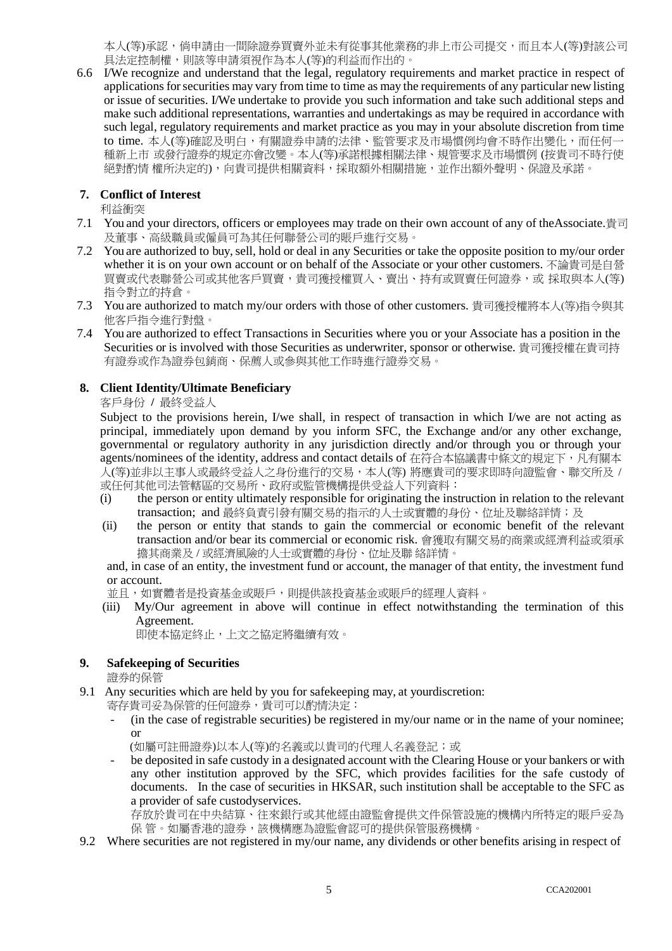本人(等)承認,倘申請由一間除證券買賣外並未有從事其他業務的非上市公司提交,而且本人(等)對該公司 具法定控制權,則該等申請須視作為本人(等)的利益而作出的。

6.6 I/We recognize and understand that the legal, regulatory requirements and market practice in respect of applications for securities may vary from time to time as may the requirements of any particular new listing or issue of securities. I/We undertake to provide you such information and take such additional steps and make such additional representations, warranties and undertakings as may be required in accordance with such legal, regulatory requirements and market practice as you may in your absolute discretion from time to time. 本人(等)確認及明白,有關證券申請的法律、監管要求及市場慣例均會不時作出變化,而任何一 種新上市 或發行證券的規定亦會改變。本人(等)承諾根據相關法律、規管要求及市場慣例 (按貴司不時行使 絕對酌情 權所決定的),向貴司提供相關資料,採取額外相關措施,並作出額外聲明、保證及承諾。

#### **7. Conflict of Interest**

利益衝突

- 7.1 You and your directors, officers or employees may trade on their own account of any of theAssociate.貴司 及董事、高級職員或僱員可為其任何聯營公司的賬戶進行交易。
- 7.2 You are authorized to buy, sell, hold or deal in any Securities or take the opposite position to my/our order whether it is on your own account or on behalf of the Associate or your other customers. 不論貴司是自營 買賣或代表聯營公司或其他客戶買賣,貴司獲授權買入、賣出、持有或買賣任何證券,或 採取與本人(等) 指令對立的持倉。
- 7.3 You are authorized to match my/our orders with those of other customers. 貴司獲授權將本人(等)指令與其 他客戶指令進行對盤。
- 7.4 You are authorized to effect Transactions in Securities where you or your Associate has a position in the Securities or is involved with those Securities as underwriter, sponsor or otherwise. 貴司獲授權在貴司持 有證券或作為證券包銷商、保薦人或參與其他工作時進行證券交易。

#### **8. Client Identity/Ultimate Beneficiary**

#### 客戶身份 **/** 最終受益人

Subject to the provisions herein, I/we shall, in respect of transaction in which I/we are not acting as principal, immediately upon demand by you inform SFC, the Exchange and/or any other exchange, governmental or regulatory authority in any jurisdiction directly and/or through you or through your agents/nominees of the identity, address and contact details of 在符合本協議書中條文的規定下,凡有關本 人(等)並非以主事人或最終受益人之身份進行的交易,本人(等) 將應貴司的要求即時向證監會、聯交所及 / 或任何其他司法管轄區的交易所、政府或監管機構提供受益人下列資料:

- (i) the person or entity ultimately responsible for originating the instruction in relation to the relevant transaction; and 最終負責引發有關交易的指示的人士或實體的身份、位址及聯絡詳情;及
- (ii) the person or entity that stands to gain the commercial or economic benefit of the relevant transaction and/or bear its commercial or economic risk. 會獲取有關交易的商業或經濟利益或須承 擔其商業及 / 或經濟風險的人士或實體的身份、位址及聯 絡詳情。

and, in case of an entity, the investment fund or account, the manager of that entity, the investment fund or account.

並且,如實體者是投資基金或賬戶,則提供該投資基金或賬戶的經理人資料。

(iii) My/Our agreement in above will continue in effect notwithstanding the termination of this Agreement.

即使本協定終止,上文之協定將繼續有效。

# **9. Safekeeping of Securities**

證券的保管

- 9.1 Any securities which are held by you for safekeeping may, at yourdiscretion:
	- 寄存貴司妥為保管的任何證券,貴司可以酌情決定:
	- (in the case of registrable securities) be registered in my/our name or in the name of your nominee; or

(如屬可註冊證券)以本人(等)的名義或以貴司的代理人名義登記;或

be deposited in safe custody in a designated account with the Clearing House or your bankers or with any other institution approved by the SFC, which provides facilities for the safe custody of documents. In the case of securities in HKSAR, such institution shall be acceptable to the SFC as a provider of safe custodyservices.

存放於貴司在中央結算、往來銀行或其他經由證監會提供文件保管設施的機構內所特定的賬戶妥為 保 管。如屬香港的證券,該機構應為證監會認可的提供保管服務機構。

9.2 Where securities are not registered in my/our name, any dividends or other benefits arising in respect of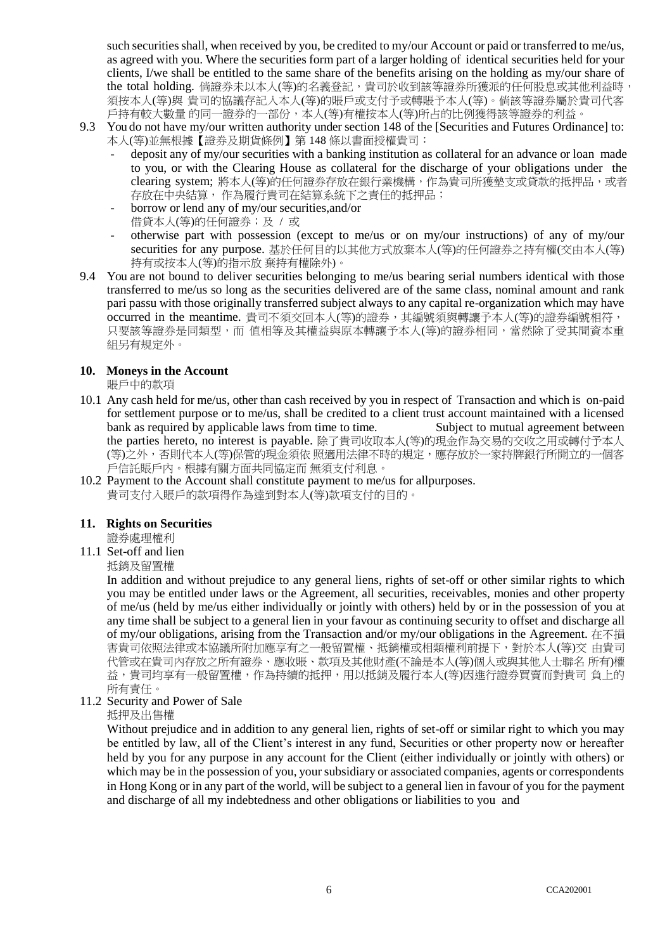such securities shall, when received by you, be credited to my/our Account or paid or transferred to me/us, as agreed with you. Where the securities form part of a larger holding of identical securities held for your clients, I/we shall be entitled to the same share of the benefits arising on the holding as my/our share of the total holding. 倘證券未以本人(等)的名義登記,貴司於收到該等證券所獲派的任何股息或其他利益時, 須按本人(等)與 貴司的協議存記入本人(等)的賬戶或支付予或轉賬予本人(等)。倘該等證券屬於貴司代客 戶持有較大數量 的同一證券的一部份,本人(等)有權按本人(等)所占的比例獲得該等證券的利益。

- 9.3 You do not have my/our written authority under section 148 of the [Securities and Futures Ordinance] to: 本人(等)並無根據【證券及期貨條例】第 148 條以書面授權貴司:
	- deposit any of my/our securities with a banking institution as collateral for an advance or loan made to you, or with the Clearing House as collateral for the discharge of your obligations under the clearing system; 將本人(等)的任何證券存放在銀行業機構,作為貴司所獲墊支或貸款的抵押品,或者 存放在中央結算, 作為履行貴司在結算系統下之責任的抵押品;
	- borrow or lend any of my/our securities,and/or 借貸本人(等)的任何證券;及 / 或
	- otherwise part with possession (except to me/us or on my/our instructions) of any of my/our securities for any purpose. 基於任何目的以其他方式放棄本人(等)的任何證券之持有權(交由本人(等) 持有或按本人(等)的指示放 棄持有權除外)。
- 9.4 You are not bound to deliver securities belonging to me/us bearing serial numbers identical with those transferred to me/us so long as the securities delivered are of the same class, nominal amount and rank pari passu with those originally transferred subject always to any capital re-organization which may have occurred in the meantime. 貴司不須交回本人(等)的證券, 其編號須與轉讓予本人(等)的證券編號相符, 只要該等證券是同類型,而 值相等及其權益與原本轉讓予本人(等)的證券相同,當然除了受其間資本重 組另有規定外。

## **10. Moneys in the Account**

賬戶中的款項

- 10.1 Any cash held for me/us, other than cash received by you in respect of Transaction and which is on-paid for settlement purpose or to me/us, shall be credited to a client trust account maintained with a licensed bank as required by applicable laws from time to time. Subject to mutual agreement between the parties hereto, no interest is payable. 除了貴司收取本人(等)的現金作為交易的交收之用或轉付予本人 (等)之外,否則代本人(等)保管的現金須依 照適用法律不時的規定,應存放於一家持牌銀行所開立的一個客 戶信託賬戶內。根據有關方面共同協定而 無須支付利息。
- 10.2 Payment to the Account shall constitute payment to me/us for allpurposes. 貴司支付入賬戶的款項得作為達到對本人(等)款項支付的目的。

# **11. Rights on Securities**

證券處理權利

11.1 Set-off and lien

# 抵銷及留置權

In addition and without prejudice to any general liens, rights of set-off or other similar rights to which you may be entitled under laws or the Agreement, all securities, receivables, monies and other property of me/us (held by me/us either individually or jointly with others) held by or in the possession of you at any time shall be subject to a general lien in your favour as continuing security to offset and discharge all of my/our obligations, arising from the Transaction and/or my/our obligations in the Agreement. 在不損 害貴司依照法律或本協議所附加應享有之一般留置權、抵銷權或相類權利前提下,對於本人(等)交 由貴司 代管或在貴司內存放之所有證券、應收賬、款項及其他財產(不論是本人(等)個人或與其他人士聯名 所有)權 益,貴司均享有一般留置權,作為持續的抵押,用以抵銷及履行本人(等)因進行證券買賣而對貴司 負上的 所有責任。

11.2 Security and Power of Sale

抵押及出售權

Without prejudice and in addition to any general lien, rights of set-off or similar right to which you may be entitled by law, all of the Client's interest in any fund, Securities or other property now or hereafter held by you for any purpose in any account for the Client (either individually or jointly with others) or which may be in the possession of you, your subsidiary or associated companies, agents or correspondents in Hong Kong or in any part of the world, will be subject to a general lien in favour of you for the payment and discharge of all my indebtedness and other obligations or liabilities to you and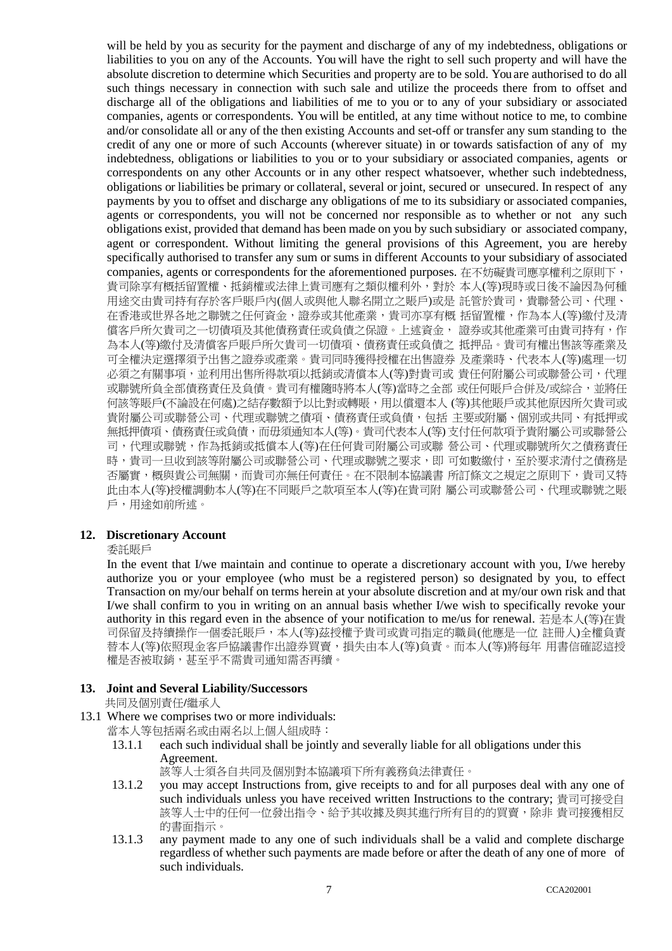will be held by you as security for the payment and discharge of any of my indebtedness, obligations or liabilities to you on any of the Accounts. You will have the right to sell such property and will have the absolute discretion to determine which Securities and property are to be sold. You are authorised to do all such things necessary in connection with such sale and utilize the proceeds there from to offset and discharge all of the obligations and liabilities of me to you or to any of your subsidiary or associated companies, agents or correspondents. You will be entitled, at any time without notice to me, to combine and/or consolidate all or any of the then existing Accounts and set-off or transfer any sum standing to the credit of any one or more of such Accounts (wherever situate) in or towards satisfaction of any of my indebtedness, obligations or liabilities to you or to your subsidiary or associated companies, agents or correspondents on any other Accounts or in any other respect whatsoever, whether such indebtedness, obligations or liabilities be primary or collateral, several or joint, secured or unsecured. In respect of any payments by you to offset and discharge any obligations of me to its subsidiary or associated companies, agents or correspondents, you will not be concerned nor responsible as to whether or not any such obligations exist, provided that demand has been made on you by such subsidiary or associated company, agent or correspondent. Without limiting the general provisions of this Agreement, you are hereby specifically authorised to transfer any sum or sums in different Accounts to your subsidiary of associated companies, agents or correspondents for the aforementioned purposes. 在不妨礙貴司應享權利之原則下, 貴司除享有概括留置權、抵銷權或法律上貴司應有之類似權利外,對於 本人(等)現時或日後不論因為何種 用途交由貴司持有存於客戶賬戶內(個人或與他人聯名開立之賬戶)或是 託管於貴司,貴聯營公司、代理、 在香港或世界各地之聯號之任何資金,證券或其他產業,貴司亦享有概 括留置權,作為本人(等)繳付及清 償客戶所欠貴司之一切債項及其他債務責任或負債之保證。上述資金, 證券或其他產業可由貴司持有, 作 為本人(等)繳付及清償客戶賬戶所欠貴司一切債項、債務責任或負債之 抵押品。貴司有權出售該等產業及 可全權決定選擇須予出售之證券或產業。貴司同時獲得授權在出售證券 及產業時、代表本人(等)處理一切 必須之有關事項,並利用出售所得款項以抵銷或清償本人(等)對貴司或 貴任何附屬公司或聯營公司,代理 或聯號所負全部債務責任及負債。貴司有權隨時將本人(等)當時之全部 或任何賬戶合併及/或綜合,並將任 何該等賬戶(不論設在何處)之結存數額予以比對或轉賬,用以償還本人 (等)其他賬戶或其他原因所欠貴司或 貴附屬公司或聯營公司、代理或聯號之債項、債務責任或負債,包括 主要或附屬、個別或共同、有抵押或 無抵押債項、債務責任或負債,而毋須通知本人(等)。貴司代表本人(等) 支付任何款項予貴附屬公司或聯營公 司,代理或聯號,作為抵銷或抵償本人(等)在任何貴司附屬公司或聯 營公司、代理或聯號所欠之債務責任 時,貴司一旦收到該等附屬公司或聯營公司、代理或聯號之要求,即 可如數繳付,至於要求清付之債務是 否屬實,概與貴公司無關,而貴司亦無任何責任。在不限制本協議書 所訂條文之規定之原則下,貴司又特 此由本人(等)授權調動本人(等)在不同賬戶之款項至本人(等)在貴司附 屬公司或聯營公司、代理或聯號之賬 戶,用途如前所述。

#### **12. Discretionary Account**

委託賬戶

In the event that I/we maintain and continue to operate a discretionary account with you, I/we hereby authorize you or your employee (who must be a registered person) so designated by you, to effect Transaction on my/our behalf on terms herein at your absolute discretion and at my/our own risk and that I/we shall confirm to you in writing on an annual basis whether I/we wish to specifically revoke your authority in this regard even in the absence of your notification to me/us for renewal. 若是本人(等)在貴 司保留及持續操作一個委託賬戶,本人(等)茲授權予貴司或貴司指定的職員(他應是一位 註冊人)全權負責 替本人(等)依照現金客戶協議書作出證券買賣,損失由本人(等)負責。而本人(等)將每年 用書信確認這授 權是否被取銷,甚至乎不需貴司通知需否再續。

# **13. Joint and Several Liability/Successors**

共同及個別責任**/**繼承人

#### 13.1 Where we comprises two or more individuals:

當本人等包括兩名或由兩名以上個人組成時:

13.1.1 each such individual shall be jointly and severally liable for all obligations under this Agreement.

該等人士須各自共同及個別對本協議項下所有義務負法律責任。

- 13.1.2 you may accept Instructions from, give receipts to and for all purposes deal with any one of such individuals unless you have received written Instructions to the contrary; 貴司可接受自 該等人士中的任何一位發出指令、給予其收據及與其進行所有目的的買賣,除非 貴司接獲相反 的書面指示。
- 13.1.3 any payment made to any one of such individuals shall be a valid and complete discharge regardless of whether such payments are made before or after the death of any one of more of such individuals.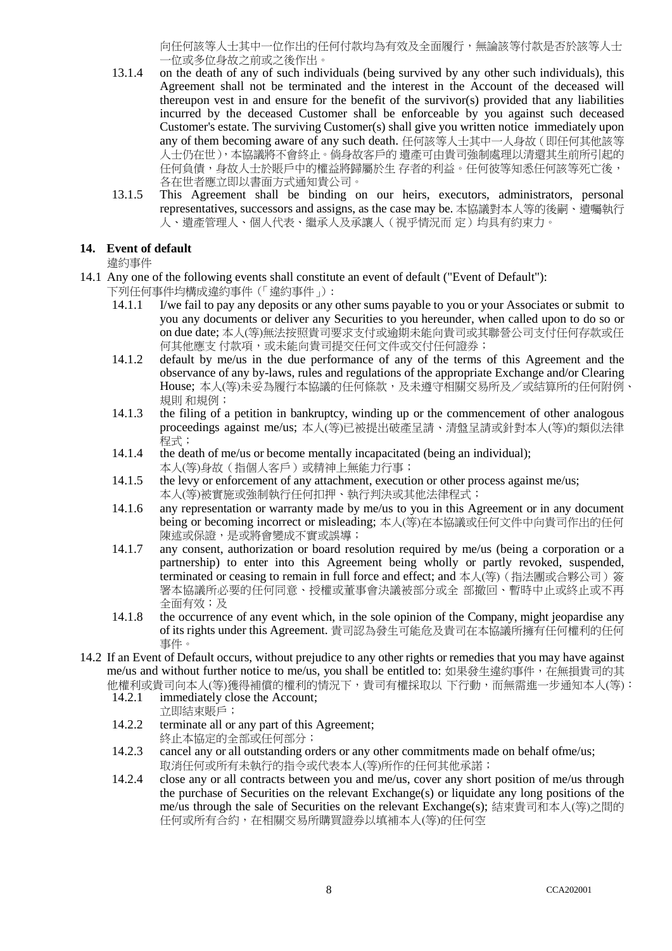向任何該等人士其中一位作出的任何付款均為有效及全面履行,無論該等付款是否於該等人士 一位或多位身故之前或之後作出。

- 13.1.4 on the death of any of such individuals (being survived by any other such individuals), this Agreement shall not be terminated and the interest in the Account of the deceased will thereupon vest in and ensure for the benefit of the survivor(s) provided that any liabilities incurred by the deceased Customer shall be enforceable by you against such deceased Customer's estate. The surviving Customer(s) shall give you written notice immediately upon any of them becoming aware of any such death. 任何該等人士其中一人身故(即任何其他該等 人士仍在世),本協議將不會終止。倘身故客戶的 遺產可由貴司強制處理以清還其生前所引起的 任何負債,身故人士於賬戶中的權益將歸屬於生 存者的利益。任何彼等知悉任何該等死亡後, 各在世者應立即以書面方式通知貴公司。
- 13.1.5 This Agreement shall be binding on our heirs, executors, administrators, personal representatives, successors and assigns, as the case may be. 本協議對本人等的後嗣、遺囑執行 人、遺產管理人、個人代表、繼承人及承讓人(視乎情況而 定)均具有約束力。

#### **14. Event of default**

違約事件

- 14.1 Any one of the following events shall constitute an event of default ("Event of Default"): 下列任何事件均構成違約事件(「違約事件」):
	- 14.1.1 I/we fail to pay any deposits or any other sums payable to you or your Associates or submit to you any documents or deliver any Securities to you hereunder, when called upon to do so or on due date; 本人(等)無法按照貴司要求支付或逾期未能向貴司或其聯營公司支付任何存款或任 何其他應支 付款項,或未能向貴司提交任何文件或交付任何證券;
	- 14.1.2 default by me/us in the due performance of any of the terms of this Agreement and the observance of any by-laws, rules and regulations of the appropriate Exchange and/or Clearing House; 本人(等)未妥為履行本協議的任何條款,及未遵守相關交易所及/或結算所的任何附例、 規則 和規例;
	- 14.1.3 the filing of a petition in bankruptcy, winding up or the commencement of other analogous proceedings against me/us; 本人(等)已被提出破產呈請、清盤呈請或針對本人(等)的類似法律 程式;
	- 14.1.4 the death of me/us or become mentally incapacitated (being an individual); 本人(等)身故(指個人客戶)或精神上無能力行事;
	- 14.1.5 the levy or enforcement of any attachment, execution or other process against me/us; 本人(等)被實施或強制執行任何扣押、執行判決或其他法律程式;
	- 14.1.6 any representation or warranty made by me/us to you in this Agreement or in any document being or becoming incorrect or misleading; 本人(等)在本協議或任何文件中向貴司作出的任何 陳述或保證,是或將會變成不實或誤導;
	- 14.1.7 any consent, authorization or board resolution required by me/us (being a corporation or a partnership) to enter into this Agreement being wholly or partly revoked, suspended, terminated or ceasing to remain in full force and effect; and 本人(等)(指法團或合夥公司)簽 署本協議所必要的任何同意、授權或董事會決議被部分或全 部撤回、暫時中止或終止或不再 全面有效;及
	- 14.1.8 the occurrence of any event which, in the sole opinion of the Company, might jeopardise any of its rights under this Agreement. 貴司認為發生可能危及貴司在本協議所擁有任何權利的任何 事件。
- 14.2 If an Event of Default occurs, without prejudice to any other rights or remedies that you may have against me/us and without further notice to me/us, you shall be entitled to: 如果發生違約事件, 在無損貴司的其 他權利或貴司向本人(等)獲得補償的權利的情況下,貴司有權採取以 下行動,而無需進一步通知本人(等):<br>14.2.1 immediately close the Account:
	- immediately close the Account;
	- 立即結束賬戶;
	- 14.2.2 terminate all or any part of this Agreement; 終止本協定的全部或任何部分;
	- 14.2.3 cancel any or all outstanding orders or any other commitments made on behalf ofme/us; 取消任何或所有未執行的指令或代表本人(等)所作的任何其他承諾;
	- 14.2.4 close any or all contracts between you and me/us, cover any short position of me/us through the purchase of Securities on the relevant Exchange(s) or liquidate any long positions of the me/us through the sale of Securities on the relevant Exchange(s); 結束貴司和本人(等)之間的 任何或所有合約,在相關交易所購買證券以填補本人(等)的任何空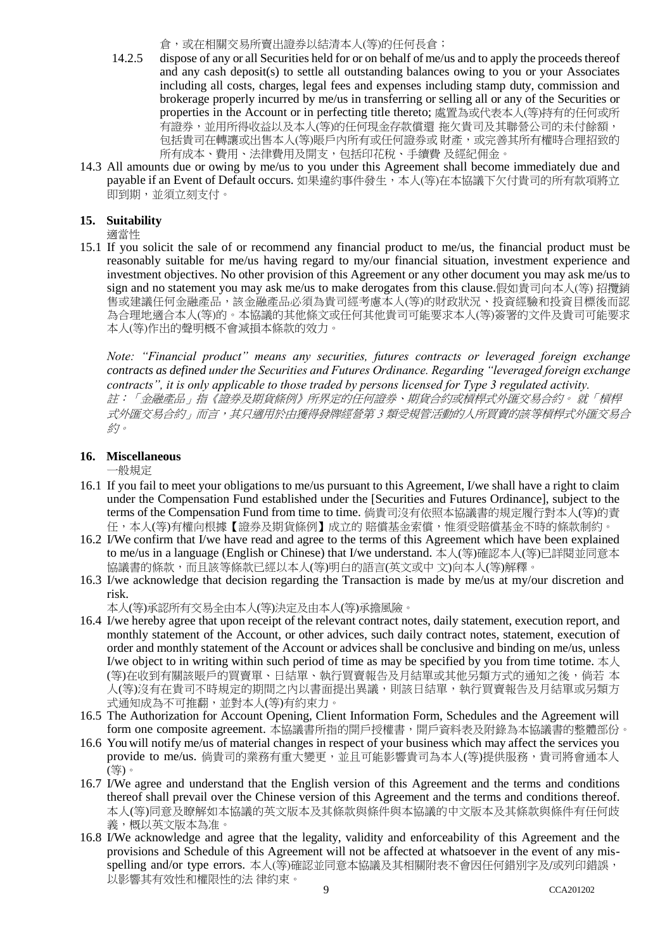倉,或在相關交易所賣出證券以結清本人(等)的任何長倉;

- 14.2.5 dispose of any or all Securities held for or on behalf of me/us and to apply the proceeds thereof and any cash deposit(s) to settle all outstanding balances owing to you or your Associates including all costs, charges, legal fees and expenses including stamp duty, commission and brokerage properly incurred by me/us in transferring or selling all or any of the Securities or properties in the Account or in perfecting title thereto; 處置為或代表本人(等)持有的任何或所 有證券,並用所得收益以及本人(等)的任何現金存款償還 拖欠貴司及其聯營公司的未付餘額, 包括貴司在轉讓或出售本人(等)賬戶內所有或任何證券或 財產,或完善其所有權時合理招致的 所有成本、費用、法律費用及開支,包括印花稅、手續費 及經紀佣金。
- 14.3 All amounts due or owing by me/us to you under this Agreement shall become immediately due and payable if an Event of Default occurs. 如果違約事件發生, 本人(等)在本協議下欠付貴司的所有款項將立 即到期,並須立刻支付。

## **15. Suitability**

適當性

15.1 If you solicit the sale of or recommend any financial product to me/us, the financial product must be reasonably suitable for me/us having regard to my/our financial situation, investment experience and investment objectives. No other provision of this Agreement or any other document you may ask me/us to sign and no statement you may ask me/us to make derogates from this clause.假如貴司向本人(等) 招攬銷 售或建議任何金融產品,該金融產品必須為貴司經考慮本人(等)的財政狀況、投資經驗和投資目標後而認 為合理地適合本人(等)的。本協議的其他條文或任何其他貴司可能要求本人(等)簽署的文件及貴司可能要求 本人(等)作出的聲明概不會減損本條款的效力。

*Note: "Financial product" means any securities, futures contracts or leveraged foreign exchange contracts as defined under the Securities and Futures Ordinance. Regarding "leveraged foreign exchange contracts", it is only applicable to those traded by persons licensed for Type 3 regulated activity.* 註:「金融產品」指《證券及期貨條例》所界定的任何證券、期貨合約或槓桿式外匯交易合約。 就「槓桿 式外匯交易合約」而言,其只適用於由獲得發牌經營第 3 類受規管活動的人所買賣的該等槓桿式外匯交易合 約。

## **16. Miscellaneous**

一般規定

- 16.1 If you fail to meet your obligations to me/us pursuant to this Agreement, I/we shall have a right to claim under the Compensation Fund established under the [Securities and Futures Ordinance], subject to the terms of the Compensation Fund from time to time. 倘貴司沒有依照本協議書的規定履行對本人(等)的責 任,本人(等)有權向根據【證券及期貨條例】成立的 賠償基金索償,惟須受賠償基金不時的條款制約。
- 16.2 I/We confirm that I/we have read and agree to the terms of this Agreement which have been explained to me/us in a language (English or Chinese) that I/we understand. 本人(等)確認本人(等)已詳閱並同意本 協議書的條款,而且該等條款已經以本人(等)明白的語言(英文或中 文)向本人(等)解釋。
- 16.3 I/we acknowledge that decision regarding the Transaction is made by me/us at my/our discretion and risk.

本人(等)承認所有交易全由本人(等)決定及由本人(等)承擔風險。

- 16.4 I/we hereby agree that upon receipt of the relevant contract notes, daily statement, execution report, and monthly statement of the Account, or other advices, such daily contract notes, statement, execution of order and monthly statement of the Account or advices shall be conclusive and binding on me/us, unless I/we object to in writing within such period of time as may be specified by you from time totime.  $\pm \lambda$ (等)在收到有關該賬戶的買賣單、日結單、執行買賣報告及月結單或其他另類方式的通知之後,倘若 本 人(等)沒有在貴司不時規定的期間之內以書面提出異議,則該日結單,執行買賣報告及月結單或另類方 式通知成為不可推翻,並對本人(等)有約束力。
- 16.5 The Authorization for Account Opening, Client Information Form, Schedules and the Agreement will form one composite agreement. 本協議書所指的開戶授權書,開戶資料表及附錄為本協議書的整體部份。
- 16.6 You will notify me/us of material changes in respect of your business which may affect the services you provide to me/us. 倘貴司的業務有重大變更,並且可能影響貴司為本人(等)提供服務,貴司將會通本人 (等)。
- 16.7 I/We agree and understand that the English version of this Agreement and the terms and conditions thereof shall prevail over the Chinese version of this Agreement and the terms and conditions thereof. 本人(等)同意及瞭解如本協議的英文版本及其條款與條件與本協議的中文版本及其條款與條件有任何歧 義,概以英文版本為准。
- 9 CCA201202 16.8 I/We acknowledge and agree that the legality, validity and enforceability of this Agreement and the provisions and Schedule of this Agreement will not be affected at whatsoever in the event of any misspelling and/or type errors. 本人(等)確認並同意本協議及其相關附表不會因任何錯別字及/或列印錯誤, 以影響其有效性和權限性的法 律約束。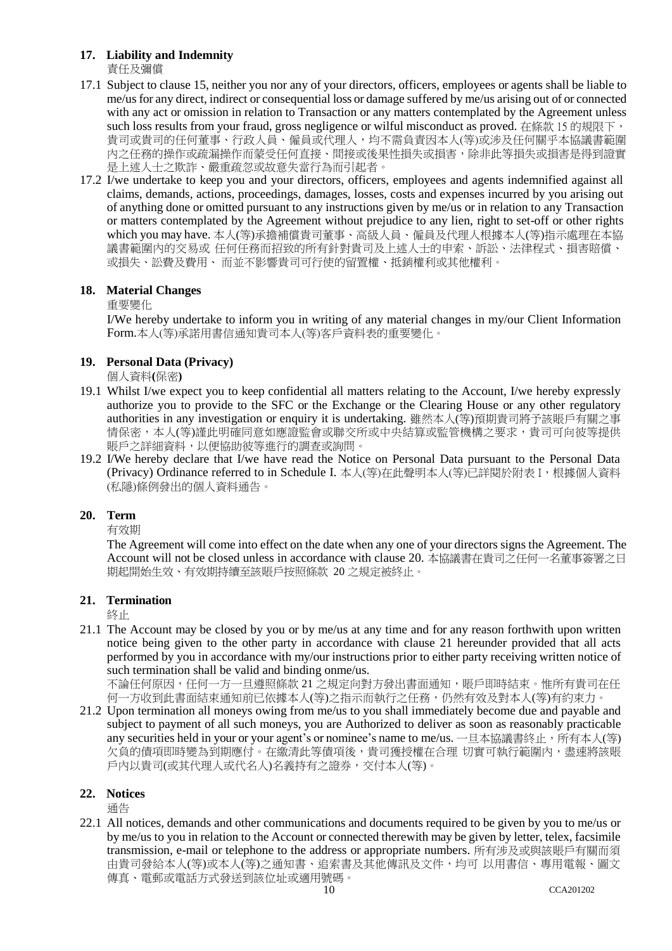# **17. Liability and Indemnity**

責任及彌償

- 17.1 Subject to clause 15, neither you nor any of your directors, officers, employees or agents shall be liable to me/us for any direct, indirect or consequential loss or damage suffered by me/us arising out of or connected with any act or omission in relation to Transaction or any matters contemplated by the Agreement unless such loss results from your fraud, gross negligence or wilful misconduct as proved. 在條款 15 的規限下, 貴司或貴司的任何董事、行政人員、僱員或代理人,均不需負責因本人(等)或涉及任何關乎本協議書範圍 內之任務的操作或疏漏操作而蒙受任何直接、間接或後果性損失或損害,除非此等損失或損害是得到證實 是上述人士之欺詐、嚴重疏忽或故意失當行為而引起者。
- 17.2 I/we undertake to keep you and your directors, officers, employees and agents indemnified against all claims, demands, actions, proceedings, damages, losses, costs and expenses incurred by you arising out of anything done or omitted pursuant to any instructions given by me/us or in relation to any Transaction or matters contemplated by the Agreement without prejudice to any lien, right to set-off or other rights which you may have. 本人(等)承擔補償貴司董事、高級人員、僱員及代理人根據本人(等)指示處理在本協 議書範圍內的交易或 任何任務而招致的所有針對貴司及上述人士的申索、訴訟、法律程式、損害賠償、 或損失、訟費及費用、 而並不影響貴司可行使的留置權、抵銷權利或其他權利。

# **18. Material Changes**

#### 重要變化

I/We hereby undertake to inform you in writing of any material changes in my/our Client Information Form.本人(等)承諾用書信通知貴司本人(等)客戶資料表的重要變化。

## **19. Personal Data (Privacy)**

個人資料**(**保密**)**

- 19.1 Whilst I/we expect you to keep confidential all matters relating to the Account, I/we hereby expressly authorize you to provide to the SFC or the Exchange or the Clearing House or any other regulatory authorities in any investigation or enquiry it is undertaking. 雖然本人(等)預期貴司將予該賬戶有關之事 情保密,本人(等)謹此明確同意如應證監會或聯交所或中央結算或監管機構之要求,貴司可向彼等提供 賬戶之詳細資料,以便協助彼等進行的調查或詢問。
- 19.2 I/We hereby declare that I/we have read the Notice on Personal Data pursuant to the Personal Data (Privacy) Ordinance referred to in Schedule I. 本人(等)在此聲明本人(等)已詳閱於附表 I, 根據個人資料 (私隱)條例發出的個人資料通告。

#### **20. Term**

有效期

The Agreement will come into effect on the date when any one of your directors signs the Agreement. The Account will not be closed unless in accordance with clause 20. 本協議書在貴司之任何一名董事簽署之日 期起開始生效、有效期持續至該賬戶按照條款 20 之規定被終止。

#### **21. Termination**

終止

21.1 The Account may be closed by you or by me/us at any time and for any reason forthwith upon written notice being given to the other party in accordance with clause 21 hereunder provided that all acts performed by you in accordance with my/our instructions prior to either party receiving written notice of such termination shall be valid and binding onme/us.

不論任何原因,任何一方一旦遵照條款 21 之規定向對方發出書面通知,賬戶即時結束。惟所有貴司在任 何一方收到此書面結束通知前已依據本人(等)之指示而執行之任務,仍然有效及對本人(等)有約束力。

21.2 Upon termination all moneys owing from me/us to you shall immediately become due and payable and subject to payment of all such moneys, you are Authorized to deliver as soon as reasonably practicable any securities held in your or your agent's or nominee's name to me/us. 一旦本協議書終止,所有本人(等) 欠負的債項即時變為到期應付。在繳清此等債項後,貴司獲授權在合理 切實可執行範圍內,盡速將該賬 戶內以貴司(或其代理人或代名人)名義持有之證券,交付本人(等)。

#### **22. Notices**

通告

10 CCA201202 22.1 All notices, demands and other communications and documents required to be given by you to me/us or by me/us to you in relation to the Account or connected therewith may be given by letter, telex, facsimile transmission, e-mail or telephone to the address or appropriate numbers. 所有涉及或與該賬戶有關而須 由貴司發給本人(等)或本人(等)之通知書、追索書及其他傳訊及文件,均可 以用書信、專用電報、圖文 傳真、電郵或電話方式發送到該位址或適用號碼。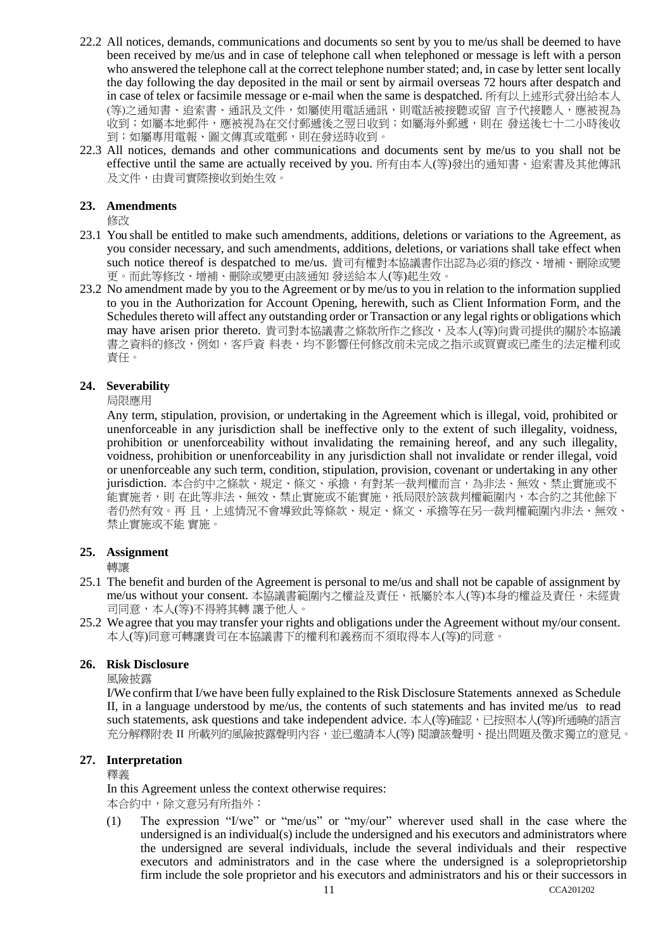- 22.2 All notices, demands, communications and documents so sent by you to me/us shall be deemed to have been received by me/us and in case of telephone call when telephoned or message is left with a person who answered the telephone call at the correct telephone number stated; and, in case by letter sent locally the day following the day deposited in the mail or sent by airmail overseas 72 hours after despatch and in case of telex or facsimile message or e-mail when the same is despatched. 所有以上述形式發出給本人 (等)之通知書、追索書、通訊及文件,如屬使用電話通訊,則電話被接聽或留 言予代接聽人,應被視為 收到;如屬本地郵件,應被視為在交付郵遞後之翌日收到;如屬海外郵遞,則在 發送後七十二小時後收 到;如屬專用電報、圖文傳真或電郵,則在發送時收到。
- 22.3 All notices, demands and other communications and documents sent by me/us to you shall not be effective until the same are actually received by you. 所有由本人(等)發出的通知書、追索書及其他傳訊 及文件,由貴司實際接收到始生效。

#### **23. Amendments**

修改

- 23.1 You shall be entitled to make such amendments, additions, deletions or variations to the Agreement, as you consider necessary, and such amendments, additions, deletions, or variations shall take effect when such notice thereof is despatched to me/us. 貴司有權對本協議書作出認為必須的修改、增補、刪除或變 更。而此等修改、增補、刪除或變更由該通知 發送給本人(等)起生效。
- 23.2 No amendment made by you to the Agreement or by me/us to you in relation to the information supplied to you in the Authorization for Account Opening, herewith, such as Client Information Form, and the Schedules thereto will affect any outstanding order or Transaction or any legal rights or obligations which may have arisen prior thereto. 貴司對本協議書之條款所作之修改,及本人(等)向貴司提供的關於本協議 書之資料的修改,例如,客戶資 料表,均不影響任何修改前未完成之指示或買賣或已產生的法定權利或 責任。

#### **24. Severability**

局限應用

Any term, stipulation, provision, or undertaking in the Agreement which is illegal, void, prohibited or unenforceable in any jurisdiction shall be ineffective only to the extent of such illegality, voidness, prohibition or unenforceability without invalidating the remaining hereof, and any such illegality, voidness, prohibition or unenforceability in any jurisdiction shall not invalidate or render illegal, void or unenforceable any such term, condition, stipulation, provision, covenant or undertaking in any other jurisdiction. 本合約中之條款、規定、條文、承擔,有對某一裁判權而言,為非法、無效、禁止實施或不 能實施者,則 在此等非法、無效、禁止實施或不能實施,祇局限於該裁判權範圍内,本合約之其他餘下 者仍然有效。再 且,上述情況不會導致此等條款、規定、條文、承擔等在另一裁判權範圍內非法、無效、 禁止實施或不能 實施。

#### **25. Assignment**

轉讓

- 25.1 The benefit and burden of the Agreement is personal to me/us and shall not be capable of assignment by me/us without your consent. 本協議書範圍內之權益及責任,祇屬於本人(等)本身的權益及責任,未經貴 司同意,本人(等)不得將其轉 讓予他人。
- 25.2 We agree that you may transfer your rights and obligations under the Agreement without my/our consent. 本人(等)同意可轉讓貴司在本協議書下的權利和義務而不須取得本人(等)的同意。

#### **26. Risk Disclosure**

風險披露

I/We confirm that I/we have been fully explained to the Risk Disclosure Statements annexed as Schedule II, in a language understood by me/us, the contents of such statements and has invited me/us to read such statements, ask questions and take independent advice. 本人(等)確認,已按照本人(等)所通曉的語言 充分解釋附表 II 所載列的風險披露聲明內容,並已邀請本人(等) 閱讀該聲明、提出問題及徵求獨立的意見。

## **27. Interpretation**

釋義

In this Agreement unless the context otherwise requires: 本合約中,除文意另有所指外:

(1) The expression "I/we" or "me/us" or "my/our" wherever used shall in the case where the undersigned is an individual(s) include the undersigned and his executors and administrators where the undersigned are several individuals, include the several individuals and their respective executors and administrators and in the case where the undersigned is a soleproprietorship firm include the sole proprietor and his executors and administrators and his or their successors in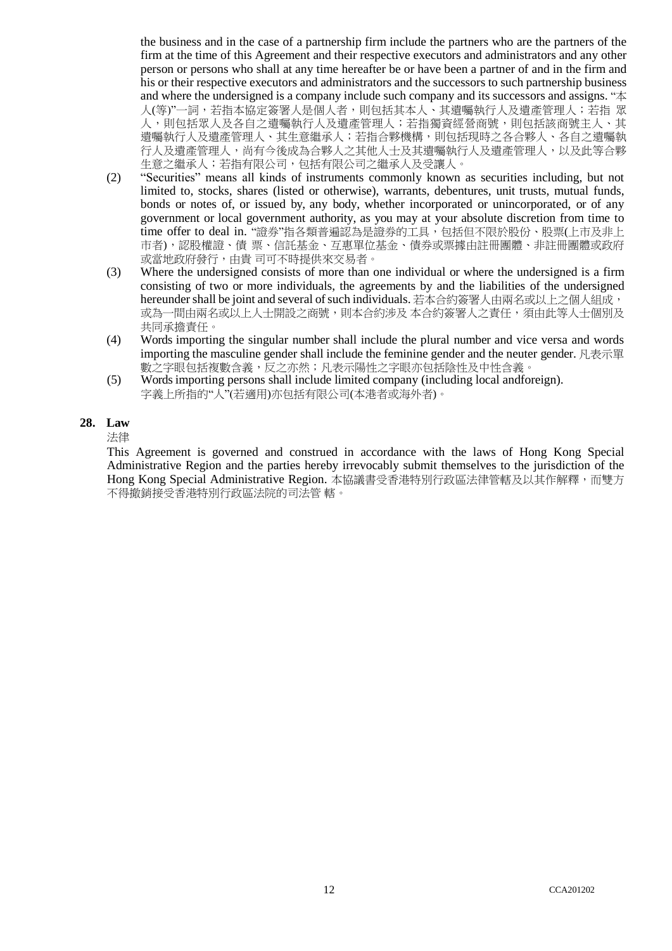the business and in the case of a partnership firm include the partners who are the partners of the firm at the time of this Agreement and their respective executors and administrators and any other person or persons who shall at any time hereafter be or have been a partner of and in the firm and his or their respective executors and administrators and the successors to such partnership business and where the undersigned is a company include such company and its successors and assigns. "本 人(等)"一詞,若指本協定簽署人是個人者,則包括其本人、其遺囑執行人及遺產管理人;若指 眾 人,則包括眾人及各自之遺囑執行人及遺產管理人;若指獨資經營商號,則包括該商號主人、其 遺囑執行人及遺產管理人、其生意繼承人;若指合夥機構,則包括現時之各合夥人、各自之遺囑執 行人及遺產管理人,尚有今後成為合夥人之其他人士及其遺囑執行人及遺產管理人,以及此等合夥 生意之繼承人;若指有限公司,包括有限公司之繼承人及受讓人。

- (2) "Securities" means all kinds of instruments commonly known as securities including, but not limited to, stocks, shares (listed or otherwise), warrants, debentures, unit trusts, mutual funds, bonds or notes of, or issued by, any body, whether incorporated or unincorporated, or of any government or local government authority, as you may at your absolute discretion from time to time offer to deal in. "證券"指各類普遍認為是證券的工具,包括但不限於股份、股票(上市及非上 市者),認股權證、債 票、信託基金、互惠單位基金、債券或票據由註冊團體、非註冊團體或政府 或當地政府發行,由貴 司可不時提供來交易者。
- (3) Where the undersigned consists of more than one individual or where the undersigned is a firm consisting of two or more individuals, the agreements by and the liabilities of the undersigned hereunder shall be joint and several of such individuals. 若本合約簽署人由兩名或以上之個人組成, 或為一間由兩名或以上人士開設之商號,則本合約涉及 本合約簽署人之責任,須由此等人士個別及 共同承擔責任。
- (4) Words importing the singular number shall include the plural number and vice versa and words importing the masculine gender shall include the feminine gender and the neuter gender. 凡表示單 數之字眼包括複數含義,反之亦然;凡表示陽性之字眼亦包括陰性及中性含義。
- (5) Words importing persons shall include limited company (including local andforeign). 字義上所指的"人"(若適用)亦包括有限公司(本港者或海外者)。

#### **28. Law**

法律

This Agreement is governed and construed in accordance with the laws of Hong Kong Special Administrative Region and the parties hereby irrevocably submit themselves to the jurisdiction of the Hong Kong Special Administrative Region. 本協議書受香港特別行政區法律管轄及以其作解釋, 而雙方 不得撤銷接受香港特別行政區法院的司法管 轄。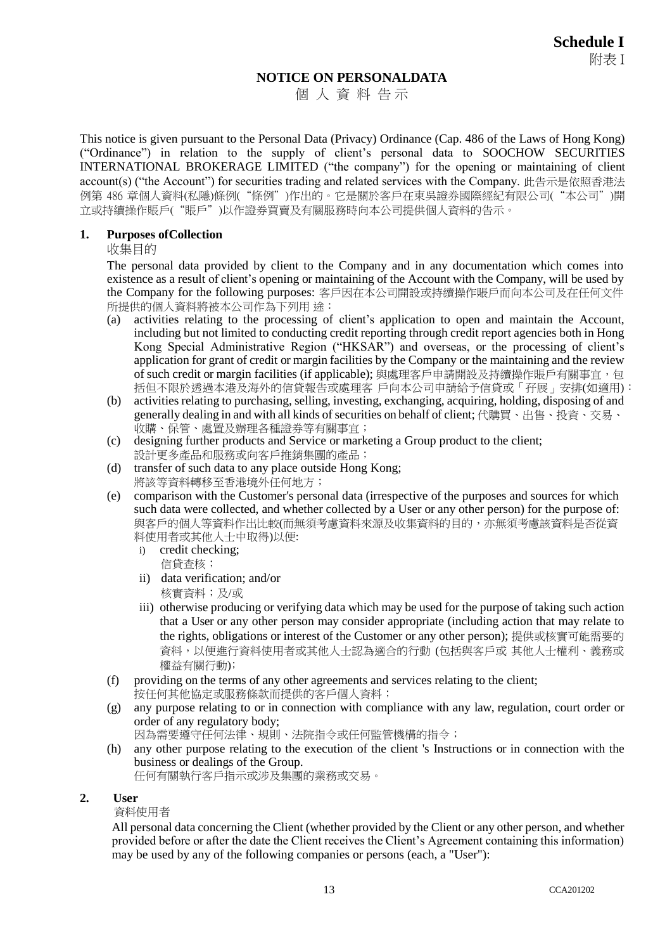# **NOTICE ON PERSONALDATA**

個 人 資 料 告示

This notice is given pursuant to the Personal Data (Privacy) Ordinance (Cap. 486 of the Laws of Hong Kong) ("Ordinance") in relation to the supply of client's personal data to SOOCHOW SECURITIES INTERNATIONAL BROKERAGE LIMITED ("the company") for the opening or maintaining of client account(s) ("the Account") for securities trading and related services with the Company. 此告示是依照香港法 例第 486 章個人資料(私隱)條例("條例")作出的。它是關於客戶在東吳證券國際經紀有限公司("本公司")開 立或持續操作賬戶("賬戶")以作證券買賣及有關服務時向本公司提供個人資料的告示。

#### **1. Purposes ofCollection**

收集目的

The personal data provided by client to the Company and in any documentation which comes into existence as a result of client's opening or maintaining of the Account with the Company, will be used by the Company for the following purposes: 客戶因在本公司開設或持續操作賬戶而向本公司及在任何文件 所提供的個人資料將被本公司作為下列用 途:

- (a) activities relating to the processing of client's application to open and maintain the Account, including but not limited to conducting credit reporting through credit report agencies both in Hong Kong Special Administrative Region ("HKSAR") and overseas, or the processing of client's application for grant of credit or margin facilities by the Company or the maintaining and the review of such credit or margin facilities (if applicable); 與處理客戶申請開設及持續操作賬戶有關事宜,包 括但不限於透過本港及海外的信貸報告或處理客 戶向本公司申請給予信貸或「孖展」安排(如適用):
- (b) activities relating to purchasing, selling, investing, exchanging, acquiring, holding, disposing of and generally dealing in and with all kinds of securities on behalf of client; 代購買、出售、投資、交易、 收購、保管、處置及辦理各種證券等有關事宜;
- (c) designing further products and Service or marketing a Group product to the client; 設計更多產品和服務或向客戶推銷集團的產品;
- (d) transfer of such data to any place outside Hong Kong; 將該等資料轉移至香港境外任何地方;
- (e) comparison with the Customer's personal data (irrespective of the purposes and sources for which such data were collected, and whether collected by a User or any other person) for the purpose of: 與客戶的個人等資料作出比較(而無須考慮資料來源及收集資料的目的,亦無須考慮該資料是否從資 料使用者或其他人士中取得)以便:
	- i) credit checking; 信貸查核;
	- ii) data verification; and/or 核實資料;及/或
	- iii) otherwise producing or verifying data which may be used for the purpose of taking such action that a User or any other person may consider appropriate (including action that may relate to the rights, obligations or interest of the Customer or any other person); 提供或核實可能需要的 資料,以便進行資料使用者或其他人士認為適合的行動 (包括與客戶或 其他人士權利、義務或 權益有關行動);
- (f) providing on the terms of any other agreements and services relating to the client; 按任何其他協定或服務條款而提供的客戶個人資料;
- (g) any purpose relating to or in connection with compliance with any law, regulation, court order or order of any regulatory body; 因為需要遵守任何法律、規則、法院指令或任何監管機構的指令;
- (h) any other purpose relating to the execution of the client 's Instructions or in connection with the business or dealings of the Group. 任何有關執行客戶指示或涉及集團的業務或交易。

#### **2. User**

#### 資料使用者

All personal data concerning the Client (whether provided by the Client or any other person, and whether provided before or after the date the Client receives the Client's Agreement containing this information) may be used by any of the following companies or persons (each, a "User"):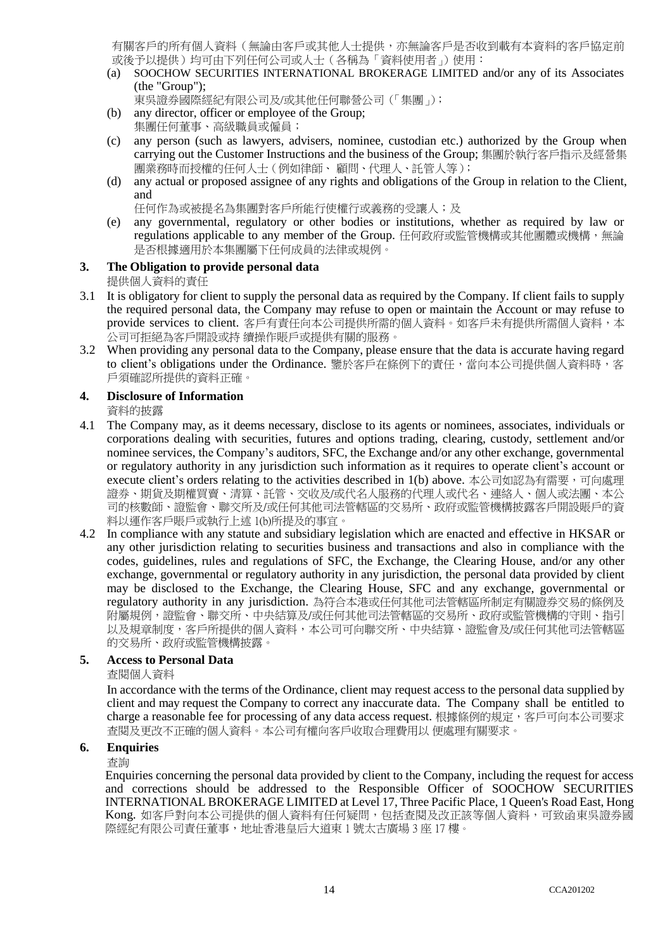有關客戶的所有個人資料(無論由客戶或其他人士提供,亦無論客戶是否收到載有本資料的客戶協定前 或後予以提供)均可由下列任何公司或人士(各稱為「資料使用者」)使用:

- (a) SOOCHOW SECURITIES INTERNATIONAL BROKERAGE LIMITED and/or any of its Associates (the "Group");
	- 東吳證券國際經紀有限公司及/或其他任何聯營公司(「集團」);
- (b) any director, officer or employee of the Group; 集團任何董事、高級職員或僱員;
- (c) any person (such as lawyers, advisers, nominee, custodian etc.) authorized by the Group when carrying out the Customer Instructions and the business of the Group; 集團於執行客戶指示及經營集 團業務時而授權的任何人士(例如律師、 顧問、代理人、託管人等);
- (d) any actual or proposed assignee of any rights and obligations of the Group in relation to the Client, and

任何作為或被提名為集團對客戶所能行使權行或義務的受讓人;及

(e) any governmental, regulatory or other bodies or institutions, whether as required by law or regulations applicable to any member of the Group. 任何政府或監管機構或其他團體或機構,無論 是否根據適用於本集團屬下任何成員的法律或規例。

# **3. The Obligation to provide personal data**

提供個人資料的責任

- 3.1 It is obligatory for client to supply the personal data as required by the Company. If client fails to supply the required personal data, the Company may refuse to open or maintain the Account or may refuse to provide services to client. 客戶有責任向本公司提供所需的個人資料。如客戶未有提供所需個人資料,本 公司可拒絕為客戶開設或持 續操作賬戶或提供有關的服務。
- 3.2 When providing any personal data to the Company, please ensure that the data is accurate having regard to client's obligations under the Ordinance. 鑒於客戶在條例下的責任,當向本公司提供個人資料時,客 戶須確認所提供的資料正確。

## **4. Disclosure of Information**

資料的披露

- 4.1 The Company may, as it deems necessary, disclose to its agents or nominees, associates, individuals or corporations dealing with securities, futures and options trading, clearing, custody, settlement and/or nominee services, the Company's auditors, SFC, the Exchange and/or any other exchange, governmental or regulatory authority in any jurisdiction such information as it requires to operate client's account or execute client's orders relating to the activities described in 1(b) above. 本公司如認為有需要,可向處理 證券、期貨及期權買賣、清算、託管、交收及/或代名人服務的代理人或代名、連絡人、個人或法團、本公 司的核數師、證監會、聯交所及/或任何其他司法管轄區的交易所、政府或監管機構披露客戶開設賬戶的資 料以運作客戶賬戶或執行上述 1(b)所提及的事宜。
- 4.2 In compliance with any statute and subsidiary legislation which are enacted and effective in HKSAR or any other jurisdiction relating to securities business and transactions and also in compliance with the codes, guidelines, rules and regulations of SFC, the Exchange, the Clearing House, and/or any other exchange, governmental or regulatory authority in any jurisdiction, the personal data provided by client may be disclosed to the Exchange, the Clearing House, SFC and any exchange, governmental or regulatory authority in any jurisdiction. 為符合本港或任何其他司法管轄區所制定有關證券交易的條例及 附屬規例,證監會、聯交所、中央結算及/或任何其他司法管轄區的交易所、政府或監管機構的守則、指引 以及規章制度,客戶所提供的個人資料,本公司可向聯交所、中央結算、證監會及/或任何其他司法管轄區 的交易所、政府或監管機構披露。

# **5. Access to Personal Data**

查閱個人資料

In accordance with the terms of the Ordinance, client may request access to the personal data supplied by client and may request the Company to correct any inaccurate data. The Company shall be entitled to charge a reasonable fee for processing of any data access request. 根據條例的規定,客戶可向本公司要求 查閱及更改不正確的個人資料。本公司有權向客戶收取合理費用以 便處理有關要求。

## **6. Enquiries**

查詢

Enquiries concerning the personal data provided by client to the Company, including the request for access and corrections should be addressed to the Responsible Officer of SOOCHOW SECURITIES INTERNATIONAL BROKERAGE LIMITED at Level 17, Three Pacific Place, 1 Queen's Road East, Hong Kong. 如客戶對向本公司提供的個人資料有任何疑問,包括查閱及改正該等個人資料,可致函東吳證券國 際經紀有限公司責任董事,地址香港皇后大道東 1 號太古廣場 3 座 17 樓。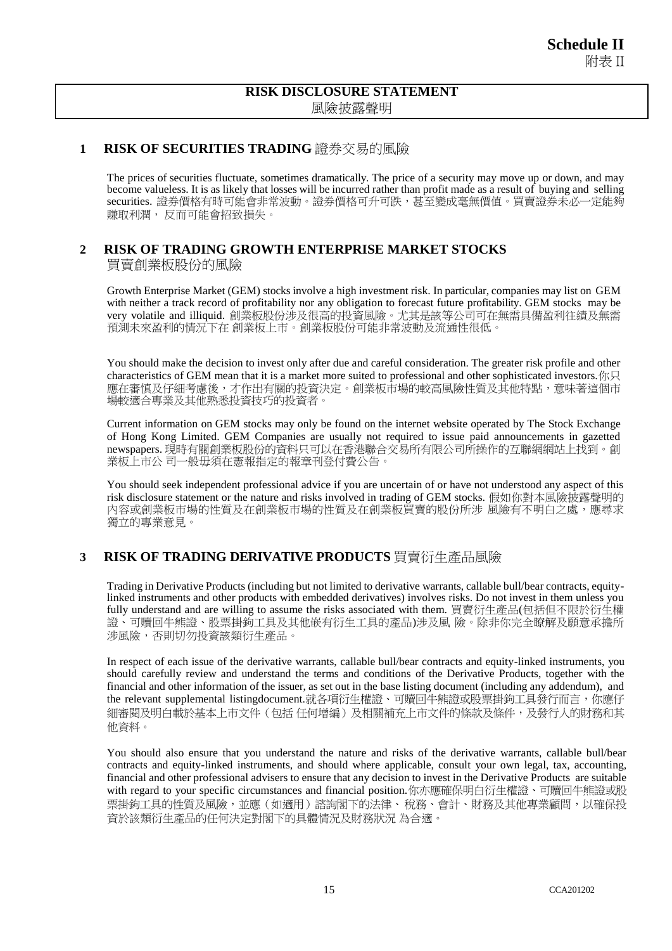## **RISK DISCLOSURE STATEMENT** 風險披露聲明

# **1 RISK OF SECURITIES TRADING** 證券交易的風險

The prices of securities fluctuate, sometimes dramatically. The price of a security may move up or down, and may become valueless. It is as likely that losses will be incurred rather than profit made as a result of buying and selling securities. 證券價格有時可能會非常波動。證券價格可升可跌,甚至變成毫無價值。買賣證券未必一定能夠 賺取利潤, 反而可能會招致損失。

# **2 RISK OF TRADING GROWTH ENTERPRISE MARKET STOCKS** 買賣創業板股份的風險

Growth Enterprise Market (GEM) stocks involve a high investment risk. In particular, companies may list on GEM with neither a track record of profitability nor any obligation to forecast future profitability. GEM stocks may be very volatile and illiquid. 創業板股份涉及很高的投資風險。尤其是該等公司可在無需具備盈利往績及無需 預測未來盈利的情況下在 創業板上市。創業板股份可能非常波動及流通性很低。

You should make the decision to invest only after due and careful consideration. The greater risk profile and other characteristics of GEM mean that it is a market more suited to professional and other sophisticated investors.你只 應在審慎及仔細考慮後,才作出有關的投資決定。創業板市場的較高風險性質及其他特點,意味著這個市 場較適合專業及其他熟悉投資技巧的投資者。

Current information on GEM stocks may only be found on the internet website operated by The Stock Exchange of Hong Kong Limited. GEM Companies are usually not required to issue paid announcements in gazetted newspapers. 現時有關創業板股份的資料只可以在香港聯合交易所有限公司所操作的互聯網網站上找到。創 業板上市公 司一般毋須在憲報指定的報章刊登付費公告。

You should seek independent professional advice if you are uncertain of or have not understood any aspect of this risk disclosure statement or the nature and risks involved in trading of GEM stocks. 假如你對本風險披露聲明的 內容或創業板市場的性質及的制業板買賣的股份所涉 風險有不明白之處,應尋求 獨立的專業意見。

# **3 RISK OF TRADING DERIVATIVE PRODUCTS** 買賣衍生產品風險

Trading in Derivative Products (including but not limited to derivative warrants, callable bull/bear contracts, equitylinked instruments and other products with embedded derivatives) involves risks. Do not invest in them unless you fully understand and are willing to assume the risks associated with them. 買賣衍生產品(包括但不限於衍生權 證、可贖回牛熊證、股票掛鉤工具及其他嵌有衍生工具的產品)涉及風 險。除非你完全瞭解及願意承擔所 涉風險,否則切勿投資該類衍生產品。

In respect of each issue of the derivative warrants, callable bull/bear contracts and equity-linked instruments, you should carefully review and understand the terms and conditions of the Derivative Products, together with the financial and other information of the issuer, as set out in the base listing document (including any addendum), and the relevant supplemental listingdocument.就各項衍生權證、可贖回牛熊證或股票掛鉤工具發行而言,你應仔 細審閱及明白載於基本上市文件(包括 任何增編)及相關補充上市文件的條款及條件,及發行人的財務和其 他資料。

You should also ensure that you understand the nature and risks of the derivative warrants, callable bull/bear contracts and equity-linked instruments, and should where applicable, consult your own legal, tax, accounting, financial and other professional advisers to ensure that any decision to invest in the Derivative Products are suitable with regard to your specific circumstances and financial position.你亦應確保明白衍生權證、可贖回牛熊證或股 票掛鉤工具的性質及風險,並應(如適用)諮詢閣下的法律、稅務、會計、財務及其他專業顧問,以確保投 資於該類衍生產品的任何決定對閣下的具體情況及財務狀況 為合適。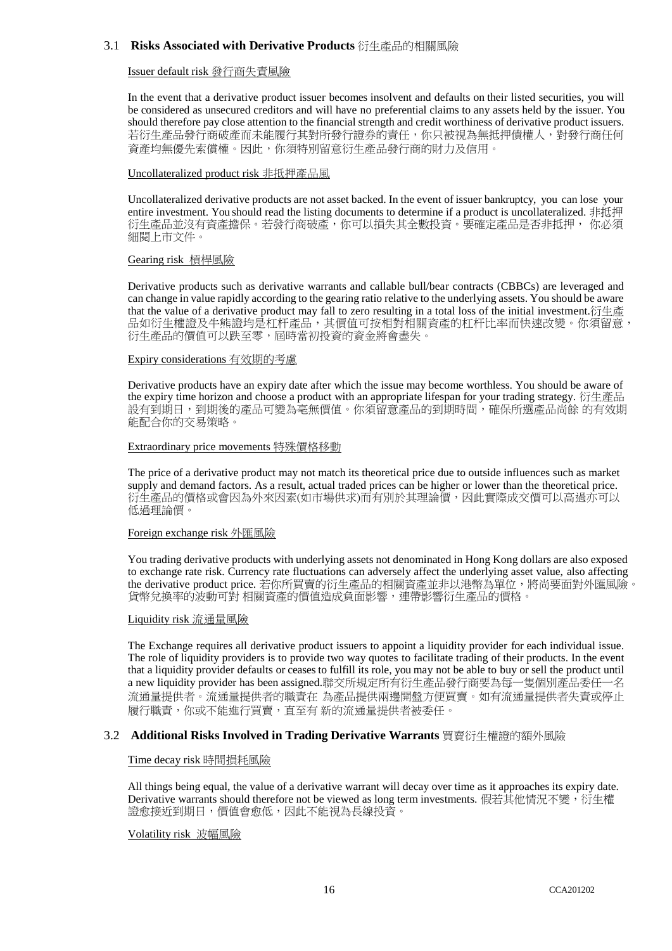#### 3.1 **Risks Associated with Derivative Products** 衍生產品的相關風險

#### Issuer default risk 發行商失責風險

In the event that a derivative product issuer becomes insolvent and defaults on their listed securities, you will be considered as unsecured creditors and will have no preferential claims to any assets held by the issuer. You should therefore pay close attention to the financial strength and credit worthiness of derivative product issuers. 若衍生產品發行商破產而未能履行其對所發行證券的責任,你只被視為無抵押債權人,對發行商任何 資產均無優先索償權。因此,你須特別留意衍生產品發行商的財力及信用。

#### Uncollateralized product risk 非抵押產品風

Uncollateralized derivative products are not asset backed. In the event of issuer bankruptcy, you can lose your entire investment. You should read the listing documents to determine if a product is uncollateralized. 非抵押 衍生產品並沒有資產擔保。若發行商破產,你可以損失其全數投資。要確定產品是否非抵押, 你必須 細閱上市文件。

#### Gearing risk 槓桿風險

Derivative products such as derivative warrants and callable bull/bear contracts (CBBCs) are leveraged and can change in value rapidly according to the gearing ratio relative to the underlying assets. You should be aware that the value of a derivative product may fall to zero resulting in a total loss of the initial investment.衍生產 品如衍生權證及牛熊證均是杠杆產品,其價值可按相對相關資產的杠杆比率而快速改變。你須留意, 衍生產品的價值可以跌至零,屆時當初投資的資金將會盡失。

#### Expiry considerations 有效期的考慮

Derivative products have an expiry date after which the issue may become worthless. You should be aware of the expiry time horizon and choose a product with an appropriate lifespan for your trading strategy. 衍生產品 設有到期日,到期後的產品可變為亳無價值。你須留意產品的到期時間,確保所選產品尚餘 的有效期 能配合你的交易策略。

#### Extraordinary price movements 特殊價格移動

The price of a derivative product may not match its theoretical price due to outside influences such as market supply and demand factors. As a result, actual traded prices can be higher or lower than the theoretical price. 衍生產品的價格或會因為外來因素(如市場供求)而有別於其理論價,因此實際成交價可以高過亦可以 低過理論價。

#### Foreign exchange risk 外匯風險

You trading derivative products with underlying assets not denominated in Hong Kong dollars are also exposed to exchange rate risk. Currency rate fluctuations can adversely affect the underlying asset value, also affecting the derivative product price. 若你所買賣的衍生產品的相關資產並非以港幣為單位,將尚要面對外匯風險。 貨幣兌換率的波動可對 相關資產的價值造成負面影響,連帶影響衍生產品的價格。

#### Liquidity risk 流通量風險

The Exchange requires all derivative product issuers to appoint a liquidity provider for each individual issue. The role of liquidity providers is to provide two way quotes to facilitate trading of their products. In the event that a liquidity provider defaults or ceases to fulfill its role, you may not be able to buy or sell the product until a new liquidity provider has been assigned.聯交所規定所有衍生產品發行商要為每一隻個別產品委任一名 流通量提供者。流通量提供者的職責在 為產品提供兩邊開盤方便買賣。如有流通量提供者失責或停止 履行職責,你或不能進行買賣,直至有 新的流通量提供者被委任。

#### 3.2 **Additional Risks Involved in Trading Derivative Warrants** 買賣衍生權證的額外風險

#### Time decay risk 時間損耗風險

All things being equal, the value of a derivative warrant will decay over time as it approaches its expiry date. Derivative warrants should therefore not be viewed as long term investments. 假若其他情況不變,衍生權 證愈接近到期日,價值會愈低,因此不能視為長線投資。

#### Volatility risk 波幅風險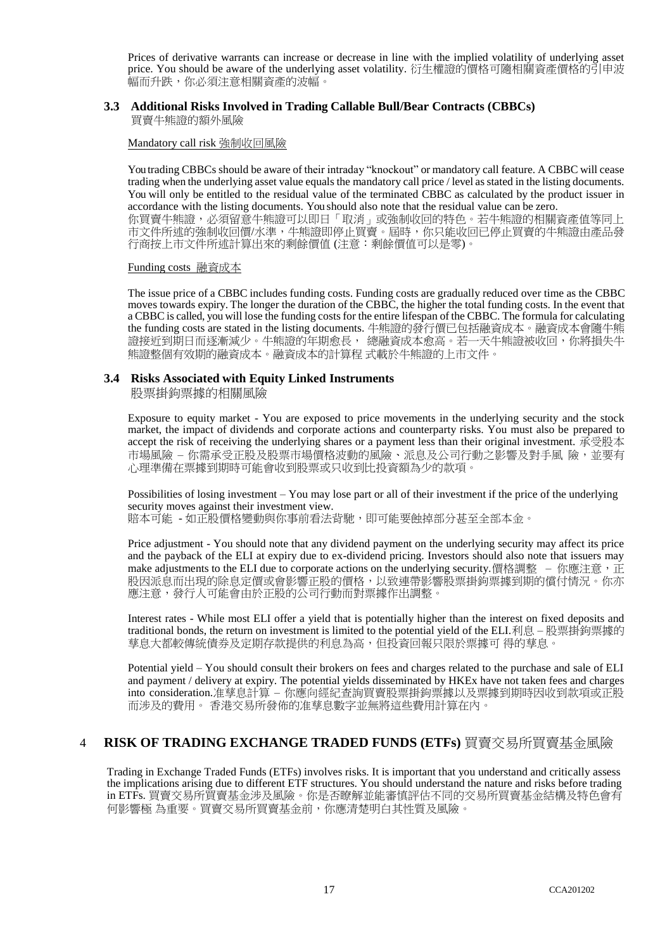Prices of derivative warrants can increase or decrease in line with the implied volatility of underlying asset price. You should be aware of the underlying asset volatility. 衍生權證的價格可隨相關資產價格的引申波 幅而升跌,你必須注意相關資產的波幅。

#### **3.3 Additional Risks Involved in Trading Callable Bull/Bear Contracts (CBBCs)**

買賣牛熊證的額外風險

Mandatory call risk 強制收回風險

You trading CBBCs should be aware of their intraday "knockout" or mandatory call feature. A CBBC will cease trading when the underlying asset value equals the mandatory call price / level as stated in the listing documents. You will only be entitled to the residual value of the terminated CBBC as calculated by the product issuer in accordance with the listing documents. You should also note that the residual value can be zero. 你買賣牛熊證,必須留意牛熊證可以即日「取消」或強制收回的特色。若牛熊證的相關資產值等同上 市文件所述的強制收回價/水準,牛熊證即停止買賣。屆時,你只能收回已停止買賣的牛熊證由產品發 行商按上市文件所述計算出來的剩餘價值 (注意:剩餘價值可以是零)。

Funding costs 融資成本

The issue price of a CBBC includes funding costs. Funding costs are gradually reduced over time as the CBBC moves towards expiry. The longer the duration of the CBBC, the higher the total funding costs. In the event that a CBBC is called, you will lose the funding costs for the entire lifespan of the CBBC. The formula for calculating the funding costs are stated in the listing documents. 牛熊證的發行價已包括融資成本。融資成本會隨牛熊 證接近到期日而逐漸減少。牛熊證的年期愈長, 總融資成本愈高。若一天牛熊證被收回, 你將損失牛 熊證整個有效期的融資成本。融資成本的計算程 式載於牛熊證的上市文件。

#### **3.4 Risks Associated with Equity Linked Instruments**

股票掛鉤票據的相關風險

Exposure to equity market - You are exposed to price movements in the underlying security and the stock market, the impact of dividends and corporate actions and counterparty risks. You must also be prepared to accept the risk of receiving the underlying shares or a payment less than their original investment. 承受股本 市場風險 – 你需承受正股及股票市場價格波動的風險、派息及公司行動之影響及對手風 險,並要有 心理準備在票據到期時可能會收到股票或只收到比投資額為少的款項。

Possibilities of losing investment – You may lose part or all of their investment if the price of the underlying security moves against their investment view. 賠本可能 - 如正股價格變動與你事前看法背馳, 即可能要蝕掉部分甚至全部本金。

Price adjustment - You should note that any dividend payment on the underlying security may affect its price and the payback of the ELI at expiry due to ex-dividend pricing. Investors should also note that issuers may make adjustments to the ELI due to corporate actions on the underlying security.價格調整 – 你應注意,正 股因派息而出現的除息定價或會影響正股的價格,以致連帶影響股票掛鉤票據到期的償付情況。你亦 應注意,發行人可能會由於正股的公司行動而對票據作出調整。

Interest rates - While most ELI offer a yield that is potentially higher than the interest on fixed deposits and traditional bonds, the return on investment is limited to the potential yield of the ELI.利息 – 股票掛鉤票據的 孳息大都較傳統債券及定期存款提供的利息為高,但投資回報只限於票據可 得的孳息。

Potential yield – You should consult their brokers on fees and charges related to the purchase and sale of ELI and payment / delivery at expiry. The potential yields disseminated by HKEx have not taken fees and charges into consideration.准孳息計算 – 你應向經紀查詢買賣股票掛鉤票據以及票據到期時因收到款項或正股 而涉及的費用。 香港交易所發佈的准孳息數字並無將這些費用計算在內。

# 4 **RISK OF TRADING EXCHANGE TRADED FUNDS (ETFs)** 買賣交易所買賣基金風險

Trading in Exchange Traded Funds (ETFs) involves risks. It is important that you understand and critically assess the implications arising due to different ETF structures. You should understand the nature and risks before trading in ETFs. 買賣交易所買賣基金涉及風險。你是否瞭解並能審慎評估不同的交易所買賣基金結構及特色會有 何影響極 為重要。買賣交易所買賣基金前,你應清楚明白其性質及風險。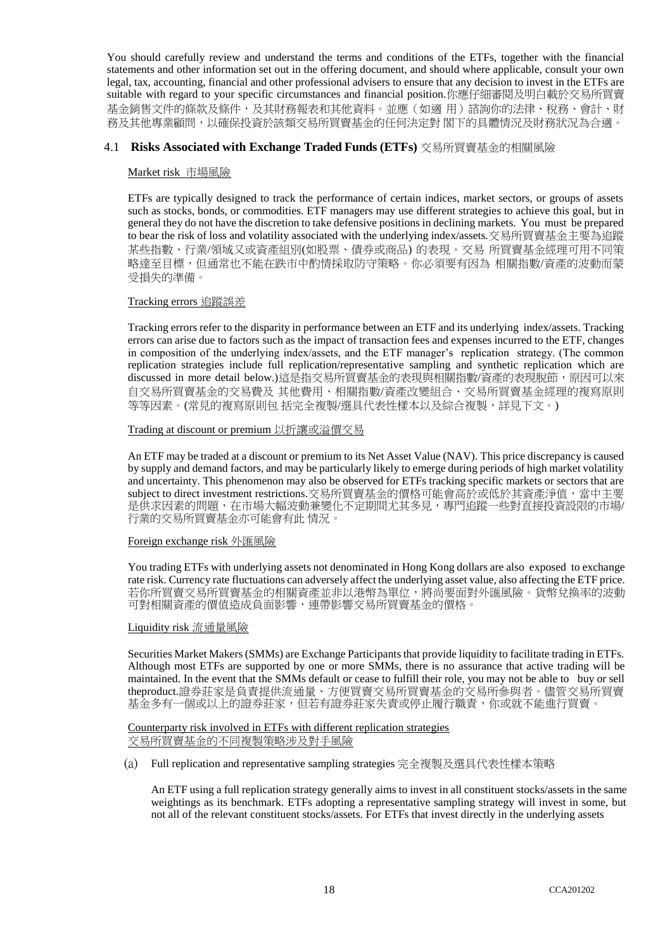You should carefully review and understand the terms and conditions of the ETFs, together with the financial statements and other information set out in the offering document, and should where applicable, consult your own legal, tax, accounting, financial and other professional advisers to ensure that any decision to invest in the ETFs are suitable with regard to your specific circumstances and financial position.你應仔細審閱及明白載於交易所買賣 基金銷售文件的條款及條件,及其財務報表和其他資料。並應(如適 用)諮詢你的法律、稅務、會計、財 務及其他專業顧問,以確保投資於該類交易所買賣基金的任何決定對 閣下的具體情況及財務狀況為合適。

#### 4.1 **Risks Associated with Exchange Traded Funds (ETFs)** 交易所買賣基金的相關風險

#### Market risk 市場風險

ETFs are typically designed to track the performance of certain indices, market sectors, or groups of assets such as stocks, bonds, or commodities. ETF managers may use different strategies to achieve this goal, but in general they do not have the discretion to take defensive positions in declining markets. You must be prepared to bear the risk of loss and volatility associated with the underlying index/assets.交易所買賣基金主要為追蹤 某些指數、行業/領域又或資產組別(如股票、債券或商品) 的表現。交易 所買賣基金經理可用不同策 略達至目標,但通常也不能在跌市中酌情採取防守策略。你必須要有因為 相關指數/資產的波動而蒙 受損失的準備。

#### Tracking errors 追蹤誤差

Tracking errors refer to the disparity in performance between an ETF and its underlying index/assets. Tracking errors can arise due to factors such as the impact of transaction fees and expenses incurred to the ETF, changes in composition of the underlying index/assets, and the ETF manager's replication strategy. (The common replication strategies include full replication/representative sampling and synthetic replication which are discussed in more detail below.)這是指交易所買賣基金的表現與相關指數/資產的表現脫節,原因可以來 自交易所買賣基金的交易費及 其他費用、相關指數/資產改變組合、交易所買賣基金經理的複寫原則 等等因素。(常見的複寫原則包 括完全複製/選具代表性樣本以及綜合複製,詳見下文。)

#### Trading at discount or premium 以折讓或溢價交易

An ETF may be traded at a discount or premium to its Net Asset Value (NAV). This price discrepancy is caused by supply and demand factors, and may be particularly likely to emerge during periods of high market volatility and uncertainty. This phenomenon may also be observed for ETFs tracking specific markets or sectors that are subject to direct investment restrictions.交易所買賣基金的價格可能會高於或低於其資產淨值,當中主要 是供求因素的問題,在市場大幅波動兼變化不定期間尤其多見,專門追蹤一些對直接投資設限的市場/ 行業的交易所買賣基金亦可能會有此 情況。

#### Foreign exchange risk 外匯風險

You trading ETFs with underlying assets not denominated in Hong Kong dollars are also exposed to exchange rate risk. Currency rate fluctuations can adversely affect the underlying asset value, also affecting the ETF price. 若你所買賣交易所買賣基金的相關資產並非以港幣為單位,將尚要面對外匯風險。貨幣兌換率的波動 可對相關資產的價值造成負面影響,連帶影響交易所買賣基金的價格。

#### Liquidity risk 流通量風險

Securities Market Makers (SMMs) are Exchange Participants that provide liquidity to facilitate trading in ETFs. Although most ETFs are supported by one or more SMMs, there is no assurance that active trading will be maintained. In the event that the SMMs default or cease to fulfill their role, you may not be able to buy or sell theproduct.證券莊家是負責提供流通量、方便買賣交易所買賣基金的交易所參與者。儘管交易所買賣 基金多有一個或以上的證券莊家,但若有證券莊家失責或停止履行職責,你或就不能進行買賣。

#### Counterparty risk involved in ETFs with different replication strategies 交易所買賣基金的不同複製策略涉及對手風險

(a) Full replication and representative sampling strategies 完全複製及選具代表性樣本策略

An ETF using a full replication strategy generally aims to invest in all constituent stocks/assets in the same weightings as its benchmark. ETFs adopting a representative sampling strategy will invest in some, but not all of the relevant constituent stocks/assets. For ETFs that invest directly in the underlying assets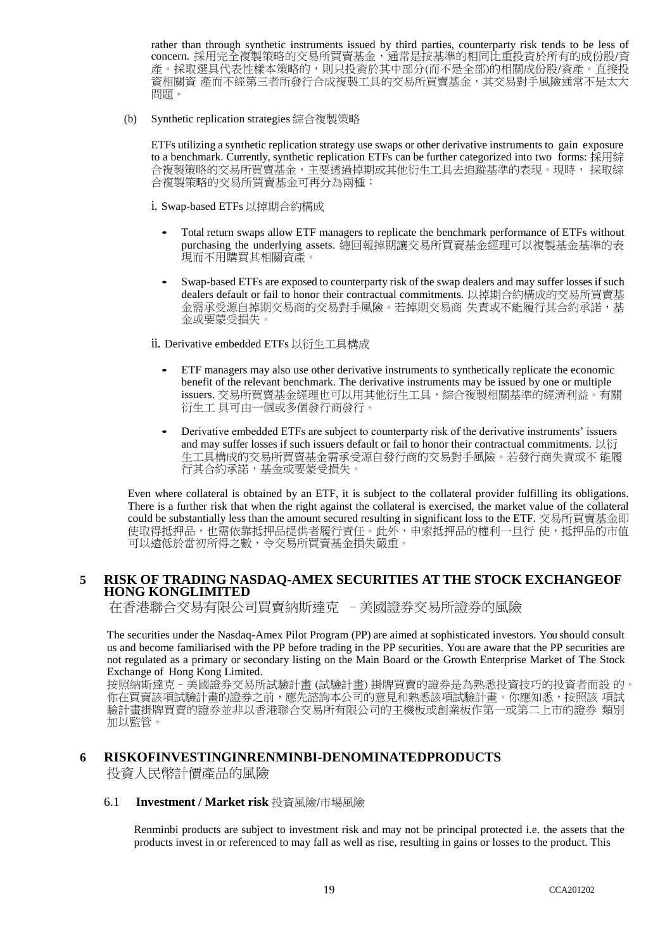rather than through synthetic instruments issued by third parties, counterparty risk tends to be less of concern. 採用完全複製策略的交易所買賣基金,通常是按基準的相同比重投資於所有的成份股/資 產。採取選具代表性樣本策略的,則只投資於其中部分(而不是全部)的相關成份股/資產。直接投 資相關資 產而不經第三者所發行合成複製工具的交易所買賣基金,其交易對手風險通常不是太大 問題。

(b) Synthetic replication strategies 綜合複製策略

ETFs utilizing a synthetic replication strategy use swaps or other derivative instruments to gain exposure to a benchmark. Currently, synthetic replication ETFs can be further categorized into two forms: 採用綜 合複製策略的交易所買賣基金,主要透過掉期或其他衍生工具去追蹤基準的表現。現時, 採取綜 合複製策略的交易所買賣基金可再分為兩種:

- i. Swap-based ETFs 以掉期合約構成
	- Total return swaps allow ETF managers to replicate the benchmark performance of ETFs without purchasing the underlying assets. 總回報掉期讓交易所買賣基金經理可以複製基金基準的表 現而不用購買其相關資產。
	- Swap-based ETFs are exposed to counterparty risk of the swap dealers and may suffer losses if such dealers default or fail to honor their contractual commitments. 以掉期合約構成的交易所買賣基 金需承受源自掉期交易商的交易對手風險。若掉期交易商 失責或不能履行其合約承諾,基 金或要蒙受損失。
- ii. Derivative embedded ETFs 以衍生工具構成
	- ETF managers may also use other derivative instruments to synthetically replicate the economic benefit of the relevant benchmark. The derivative instruments may be issued by one or multiple issuers. 交易所買賣基金經理也可以用其他衍生工具,綜合複製相關基準的經濟利益。有關 衍生工 具可由一個或多個發行商發行。
	- Derivative embedded ETFs are subject to counterparty risk of the derivative instruments' issuers and may suffer losses if such issuers default or fail to honor their contractual commitments. 以衍 生工具構成的交易所買賣基金需承受源自發行商的交易對手風險。若發行商失責或不 能履 行其合約承諾,基金或要蒙受損失。

Even where collateral is obtained by an ETF, it is subject to the collateral provider fulfilling its obligations. There is a further risk that when the right against the collateral is exercised, the market value of the collateral could be substantially less than the amount secured resulting in significant loss to the ETF. 交易所買賣基金即 使取得抵押品,也需依靠抵押品提供者履行責任。此外,申索抵押品的權利一旦行 使,抵押品的市值 可以遠低於當初所得之數,令交易所買賣基金損失嚴重。

#### **5 RISK OF TRADING NASDAQ-AMEX SECURITIES AT THE STOCK EXCHANGEOF HONG KONGLIMITED**

在香港聯合交易有限公司買賣納斯達克 –美國證券交易所證券的風險

The securities under the Nasdaq-Amex Pilot Program (PP) are aimed at sophisticated investors. You should consult us and become familiarised with the PP before trading in the PP securities. You are aware that the PP securities are not regulated as a primary or secondary listing on the Main Board or the Growth Enterprise Market of The Stock Exchange of Hong Kong Limited.

按照納斯達克–美國證券交易所試驗計畫 (試驗計畫) 掛牌買賣的證券是為熟悉投資技巧的投資者而設 的。 你在買賣該項試驗計畫的證券之前,應先諮詢本公司的意見和熟悉該項試驗計畫。你應知悉,按照該 項試 驗計畫掛牌買賣的證券並非以香港聯合交易所有限公司的主機板或創業板作第一或第二上市的證券 類別 加以監管。

#### **6 RISKOFINVESTINGINRENMINBI-DENOMINATEDPRODUCTS**

投資人民幣計價產品的風險

#### 6.1 **Investment / Market risk** 投資風險/市場風險

Renminbi products are subject to investment risk and may not be principal protected i.e. the assets that the products invest in or referenced to may fall as well as rise, resulting in gains or losses to the product. This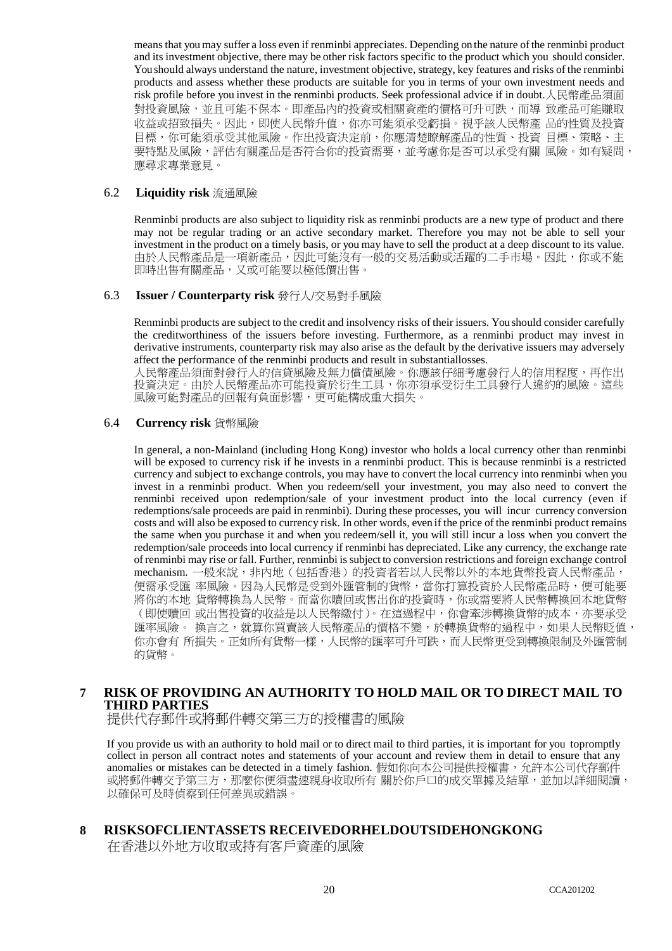means that you may suffer a loss even if renminbi appreciates. Depending on the nature of the renminbi product and its investment objective, there may be other risk factors specific to the product which you should consider. You should always understand the nature, investment objective, strategy, key features and risks of the renminbi products and assess whether these products are suitable for you in terms of your own investment needs and risk profile before you invest in the renminbi products. Seek professional advice if in doubt.人民幣產品須面 對投資風險,並且可能不保本。即產品內的投資或相關資產的價格可升可跌,而導 致產品可能賺取 收益或招致損失。因此,即使人民幣升值,你亦可能須承受虧損。視乎該人民幣產 品的性質及投資 目標,你可能須承受其他風險。作出投資決定前,你應清楚瞭解產品的性質、投資 目標、策略、主 要特點及風險,評估有關產品是否符合你的投資需要,並考慮你是否可以承受有關 風險。如有疑問, 應尋求專業意見。

#### 6.2 **Liquidity risk** 流通風險

Renminbi products are also subject to liquidity risk as renminbi products are a new type of product and there may not be regular trading or an active secondary market. Therefore you may not be able to sell your investment in the product on a timely basis, or you may have to sell the product at a deep discount to its value. 由於人民幣產品是一項新產品,因此可能沒有一般的交易活動或活躍的二手市場。因此,你或不能 即時出售有關產品,又或可能要以極低價出售。

#### 6.3 **Issuer / Counterparty risk** 發行人/交易對手風險

Renminbi products are subject to the credit and insolvency risks of their issuers. You should consider carefully the creditworthiness of the issuers before investing. Furthermore, as a renminbi product may invest in derivative instruments, counterparty risk may also arise as the default by the derivative issuers may adversely affect the performance of the renminbi products and result in substantiallosses.

人民幣產品須面對發行人的信貸風險及無力償債風險。你應該仔細考慮發行人的信用程度,再作出 投資決定。由於人民幣產品亦可能投資於衍生工具,你亦須承受衍生工具發行人違約的風險。這些 風險可能對產品的回報有負面影響,更可能構成重大損失。

#### 6.4 **Currency risk** 貨幣風險

In general, a non-Mainland (including Hong Kong) investor who holds a local currency other than renminbi will be exposed to currency risk if he invests in a renminbi product. This is because renminbi is a restricted currency and subject to exchange controls, you may have to convert the local currency into renminbi when you invest in a renminbi product. When you redeem/sell your investment, you may also need to convert the renminbi received upon redemption/sale of your investment product into the local currency (even if redemptions/sale proceeds are paid in renminbi). During these processes, you will incur currency conversion costs and will also be exposed to currency risk. In other words, even if the price of the renminbi product remains the same when you purchase it and when you redeem/sell it, you will still incur a loss when you convert the redemption/sale proceeds into local currency if renminbi has depreciated. Like any currency, the exchange rate of renminbi may rise or fall. Further, renminbi is subject to conversion restrictions and foreign exchange control mechanism. 一般來說,非內地 (包括香港) 的投資者若以人民幣以外的本地貨幣投資人民幣產品, 便需承受匯 率風險。因為人民幣是受到外匯管制的貨幣,當你打算投資於人民幣產品時,便可能要 將你的本地 貨幣轉換為人民幣。而當你贖回或售出你的投資時,你或需要將人民幣轉換回本地貨幣 (即使贖回 或出售投資的收益是以人民幣繳付)。在這過程中,你會牽涉轉換貨幣的成本,亦要承受 匯率風險。 換言之,就算你買賣該人民幣產品的價格不變,於轉換貨幣的過程中,如果人民幣貶值, 你亦會有 所損失。正如所有貨幣一樣,人民幣的匯率可升可跌,而人民幣更受到轉換限制及外匯管制 的貨幣。

# **7 RISK OF PROVIDING AN AUTHORITY TO HOLD MAIL OR TO DIRECT MAIL TO THIRD PARTIES**

提供代存郵件或將郵件轉交第三方的授權書的風險

If you provide us with an authority to hold mail or to direct mail to third parties, it is important for you topromptly collect in person all contract notes and statements of your account and review them in detail to ensure that any anomalies or mistakes can be detected in a timely fashion. 假如你向本公司提供授權書, 允許本公司代存郵件 或將郵件轉交予第三方,那麼你便須盡速親身收取所有 關於你戶口的成交單據及結單,並加以詳細閱讀, 以確保可及時偵察到任何差異或錯誤。

# **8 RISKSOFCLIENTASSETS RECEIVEDORHELDOUTSIDEHONGKONG**

在香港以外地方收取或持有客戶資產的風險